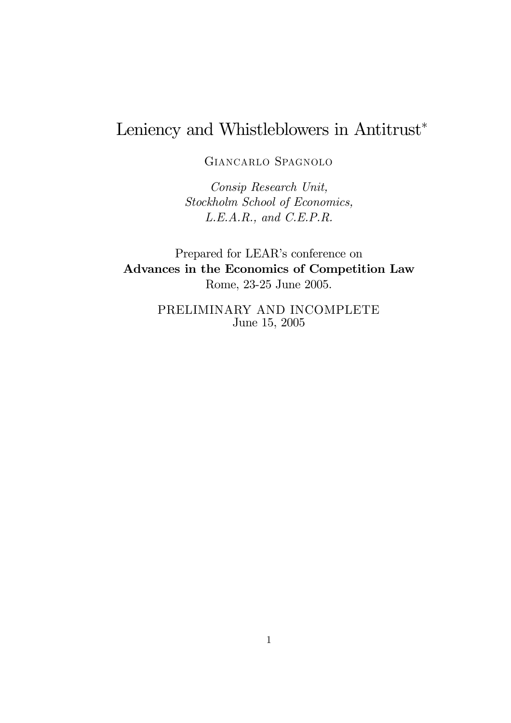# Leniency and Whistleblowers in Antitrust<sup>∗</sup>

Giancarlo Spagnolo

Consip Research Unit, Stockholm School of Economics, L.E.A.R., and C.E.P.R.

Prepared for LEAR's conference on Advances in the Economics of Competition Law Rome, 23-25 June 2005.

> PRELIMINARY AND INCOMPLETE June 15, 2005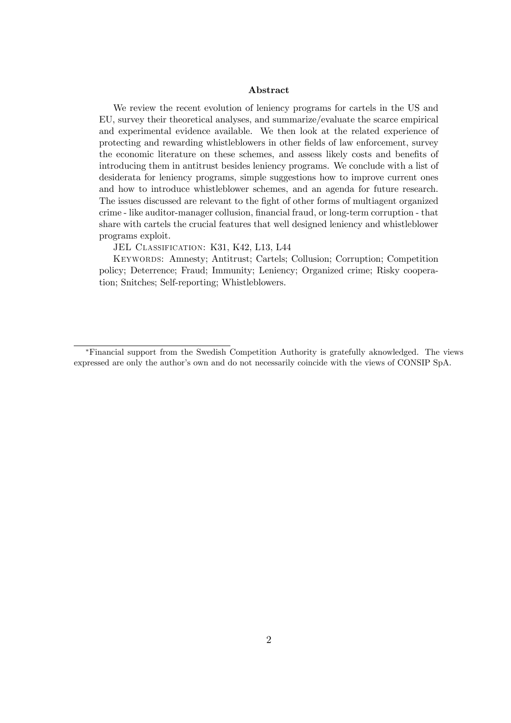#### Abstract

We review the recent evolution of leniency programs for cartels in the US and EU, survey their theoretical analyses, and summarize/evaluate the scarce empirical and experimental evidence available. We then look at the related experience of protecting and rewarding whistleblowers in other fields of law enforcement, survey the economic literature on these schemes, and assess likely costs and benefits of introducing them in antitrust besides leniency programs. We conclude with a list of desiderata for leniency programs, simple suggestions how to improve current ones and how to introduce whistleblower schemes, and an agenda for future research. The issues discussed are relevant to the fight of other forms of multiagent organized crime - like auditor-manager collusion, financial fraud, or long-term corruption - that share with cartels the crucial features that well designed leniency and whistleblower programs exploit.

JEL CLASSIFICATION: K31, K42, L13, L44

Keywords: Amnesty; Antitrust; Cartels; Collusion; Corruption; Competition policy; Deterrence; Fraud; Immunity; Leniency; Organized crime; Risky cooperation; Snitches; Self-reporting; Whistleblowers.

<sup>∗</sup>Financial support from the Swedish Competition Authority is gratefully aknowledged. The views expressed are only the author's own and do not necessarily coincide with the views of CONSIP SpA.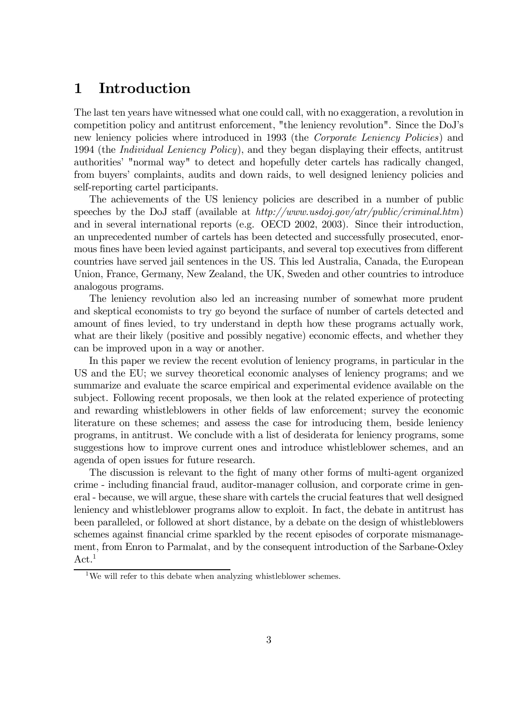# 1 Introduction

The last ten years have witnessed what one could call, with no exaggeration, a revolution in competition policy and antitrust enforcement, "the leniency revolution". Since the DoJ's new leniency policies where introduced in 1993 (the *Corporate Leniency Policies*) and 1994 (the Individual Leniency Policy), and they began displaying their effects, antitrust authorities' "normal way" to detect and hopefully deter cartels has radically changed, from buyers' complaints, audits and down raids, to well designed leniency policies and self-reporting cartel participants.

The achievements of the US leniency policies are described in a number of public speeches by the DoJ staff (available at  $http://www.usdoj.gov/atr/public/criminal.htm)$ ) and in several international reports (e.g. OECD 2002, 2003). Since their introduction, an unprecedented number of cartels has been detected and successfully prosecuted, enormous fines have been levied against participants, and several top executives from different countries have served jail sentences in the US. This led Australia, Canada, the European Union, France, Germany, New Zealand, the UK, Sweden and other countries to introduce analogous programs.

The leniency revolution also led an increasing number of somewhat more prudent and skeptical economists to try go beyond the surface of number of cartels detected and amount of fines levied, to try understand in depth how these programs actually work, what are their likely (positive and possibly negative) economic effects, and whether they can be improved upon in a way or another.

In this paper we review the recent evolution of leniency programs, in particular in the US and the EU; we survey theoretical economic analyses of leniency programs; and we summarize and evaluate the scarce empirical and experimental evidence available on the subject. Following recent proposals, we then look at the related experience of protecting and rewarding whistleblowers in other fields of law enforcement; survey the economic literature on these schemes; and assess the case for introducing them, beside leniency programs, in antitrust. We conclude with a list of desiderata for leniency programs, some suggestions how to improve current ones and introduce whistleblower schemes, and an agenda of open issues for future research.

The discussion is relevant to the fight of many other forms of multi-agent organized crime - including financial fraud, auditor-manager collusion, and corporate crime in general - because, we will argue, these share with cartels the crucial features that well designed leniency and whistleblower programs allow to exploit. In fact, the debate in antitrust has been paralleled, or followed at short distance, by a debate on the design of whistleblowers schemes against financial crime sparkled by the recent episodes of corporate mismanagement, from Enron to Parmalat, and by the consequent introduction of the Sarbane-Oxley  $Act.<sup>1</sup>$ 

<sup>&</sup>lt;sup>1</sup>We will refer to this debate when analyzing whistleblower schemes.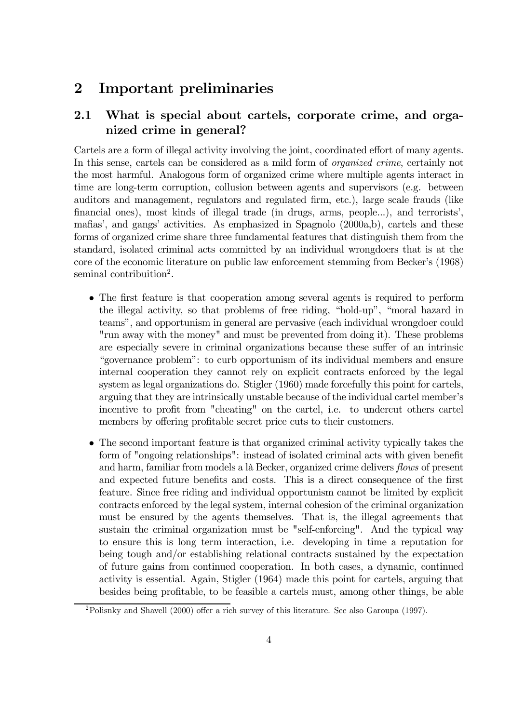# 2 Important preliminaries

# 2.1 What is special about cartels, corporate crime, and organized crime in general?

Cartels are a form of illegal activity involving the joint, coordinated effort of many agents. In this sense, cartels can be considered as a mild form of organized crime, certainly not the most harmful. Analogous form of organized crime where multiple agents interact in time are long-term corruption, collusion between agents and supervisors (e.g. between auditors and management, regulators and regulated firm, etc.), large scale frauds (like financial ones), most kinds of illegal trade (in drugs, arms, people...), and terrorists', mafias', and gangs' activities. As emphasized in Spagnolo (2000a,b), cartels and these forms of organized crime share three fundamental features that distinguish them from the standard, isolated criminal acts committed by an individual wrongdoers that is at the core of the economic literature on public law enforcement stemming from Becker's (1968) seminal contribuition<sup>2</sup>.

- The first feature is that cooperation among several agents is required to perform the illegal activity, so that problems of free riding, "hold-up", "moral hazard in teamsî, and opportunism in general are pervasive (each individual wrongdoer could "run away with the money" and must be prevented from doing it). These problems are especially severe in criminal organizations because these suffer of an intrinsic ìgovernance problemî: to curb opportunism of its individual members and ensure internal cooperation they cannot rely on explicit contracts enforced by the legal system as legal organizations do. Stigler (1960) made forcefully this point for cartels, arguing that they are intrinsically unstable because of the individual cartel member's incentive to profit from "cheating" on the cartel, i.e. to undercut others cartel members by offering profitable secret price cuts to their customers.
- The second important feature is that organized criminal activity typically takes the form of "ongoing relationships": instead of isolated criminal acts with given benefit and harm, familiar from models a là Becker, organized crime delivers *flows* of present and expected future benefits and costs. This is a direct consequence of the first feature. Since free riding and individual opportunism cannot be limited by explicit contracts enforced by the legal system, internal cohesion of the criminal organization must be ensured by the agents themselves. That is, the illegal agreements that sustain the criminal organization must be "self-enforcing". And the typical way to ensure this is long term interaction, i.e. developing in time a reputation for being tough and/or establishing relational contracts sustained by the expectation of future gains from continued cooperation. In both cases, a dynamic, continued activity is essential. Again, Stigler (1964) made this point for cartels, arguing that besides being profitable, to be feasible a cartels must, among other things, be able

<sup>2</sup>Polisnky and Shavell (2000) offer a rich survey of this literature. See also Garoupa (1997).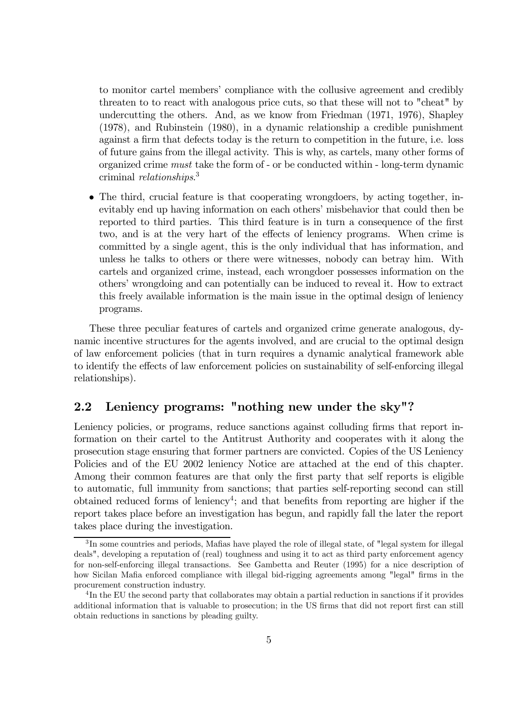to monitor cartel membersí compliance with the collusive agreement and credibly threaten to to react with analogous price cuts, so that these will not to "cheat" by undercutting the others. And, as we know from Friedman (1971, 1976), Shapley (1978), and Rubinstein (1980), in a dynamic relationship a credible punishment against a firm that defects today is the return to competition in the future, i.e. loss of future gains from the illegal activity. This is why, as cartels, many other forms of organized crime must take the form of - or be conducted within - long-term dynamic criminal relationships. 3

• The third, crucial feature is that cooperating wrongdoers, by acting together, inevitably end up having information on each others' misbehavior that could then be reported to third parties. This third feature is in turn a consequence of the first two, and is at the very hart of the effects of leniency programs. When crime is committed by a single agent, this is the only individual that has information, and unless he talks to others or there were witnesses, nobody can betray him. With cartels and organized crime, instead, each wrongdoer possesses information on the othersí wrongdoing and can potentially can be induced to reveal it. How to extract this freely available information is the main issue in the optimal design of leniency programs.

These three peculiar features of cartels and organized crime generate analogous, dynamic incentive structures for the agents involved, and are crucial to the optimal design of law enforcement policies (that in turn requires a dynamic analytical framework able to identify the effects of law enforcement policies on sustainability of self-enforcing illegal relationships).

# 2.2 Leniency programs: "nothing new under the sky"?

Leniency policies, or programs, reduce sanctions against colluding firms that report information on their cartel to the Antitrust Authority and cooperates with it along the prosecution stage ensuring that former partners are convicted. Copies of the US Leniency Policies and of the EU 2002 leniency Notice are attached at the end of this chapter. Among their common features are that only the first party that self reports is eligible to automatic, full immunity from sanctions; that parties self-reporting second can still obtained reduced forms of leniency4; and that benefits from reporting are higher if the report takes place before an investigation has begun, and rapidly fall the later the report takes place during the investigation.

<sup>&</sup>lt;sup>3</sup>In some countries and periods, Mafias have played the role of illegal state, of "legal system for illegal" deals", developing a reputation of (real) toughness and using it to act as third party enforcement agency for non-self-enforcing illegal transactions. See Gambetta and Reuter (1995) for a nice description of how Sicilan Mafia enforced compliance with illegal bid-rigging agreements among "legal" firms in the procurement construction industry.

<sup>4</sup> In the EU the second party that collaborates may obtain a partial reduction in sanctions if it provides additional information that is valuable to prosecution; in the US firms that did not report first can still obtain reductions in sanctions by pleading guilty.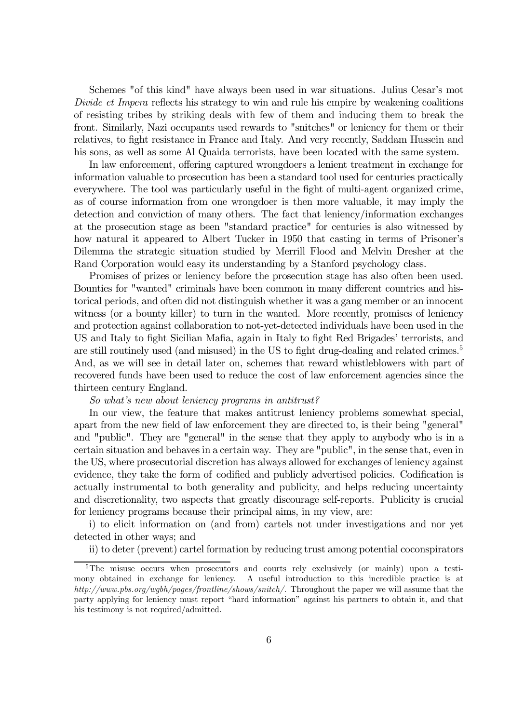Schemes "of this kind" have always been used in war situations. Julius Cesar's mot Divide et Impera reflects his strategy to win and rule his empire by weakening coalitions of resisting tribes by striking deals with few of them and inducing them to break the front. Similarly, Nazi occupants used rewards to "snitches" or leniency for them or their relatives, to fight resistance in France and Italy. And very recently, Saddam Hussein and his sons, as well as some Al Quaida terrorists, have been located with the same system.

In law enforcement, offering captured wrongdoers a lenient treatment in exchange for information valuable to prosecution has been a standard tool used for centuries practically everywhere. The tool was particularly useful in the fight of multi-agent organized crime, as of course information from one wrongdoer is then more valuable, it may imply the detection and conviction of many others. The fact that leniency/information exchanges at the prosecution stage as been "standard practice" for centuries is also witnessed by how natural it appeared to Albert Tucker in 1950 that casting in terms of Prisoner's Dilemma the strategic situation studied by Merrill Flood and Melvin Dresher at the Rand Corporation would easy its understanding by a Stanford psychology class.

Promises of prizes or leniency before the prosecution stage has also often been used. Bounties for "wanted" criminals have been common in many different countries and historical periods, and often did not distinguish whether it was a gang member or an innocent witness (or a bounty killer) to turn in the wanted. More recently, promises of leniency and protection against collaboration to not-yet-detected individuals have been used in the US and Italy to fight Sicilian Mafia, again in Italy to fight Red Brigades' terrorists, and are still routinely used (and misused) in the US to fight drug-dealing and related crimes.<sup>5</sup> And, as we will see in detail later on, schemes that reward whistleblowers with part of recovered funds have been used to reduce the cost of law enforcement agencies since the thirteen century England.

#### So what's new about leniency programs in antitrust?

In our view, the feature that makes antitrust leniency problems somewhat special, apart from the new field of law enforcement they are directed to, is their being "general" and "public". They are "general" in the sense that they apply to anybody who is in a certain situation and behaves in a certain way. They are "public", in the sense that, even in the US, where prosecutorial discretion has always allowed for exchanges of leniency against evidence, they take the form of codified and publicly advertised policies. Codification is actually instrumental to both generality and publicity, and helps reducing uncertainty and discretionality, two aspects that greatly discourage self-reports. Publicity is crucial for leniency programs because their principal aims, in my view, are:

i) to elicit information on (and from) cartels not under investigations and nor yet detected in other ways; and

ii) to deter (prevent) cartel formation by reducing trust among potential coconspirators

<sup>&</sup>lt;sup>5</sup>The misuse occurs when prosecutors and courts rely exclusively (or mainly) upon a testimony obtained in exchange for leniency. A useful introduction to this incredible practice is at http://www.pbs.org/wgbh/pages/frontline/shows/snitch/. Throughout the paper we will assume that the party applying for leniency must report "hard information" against his partners to obtain it, and that his testimony is not required/admitted.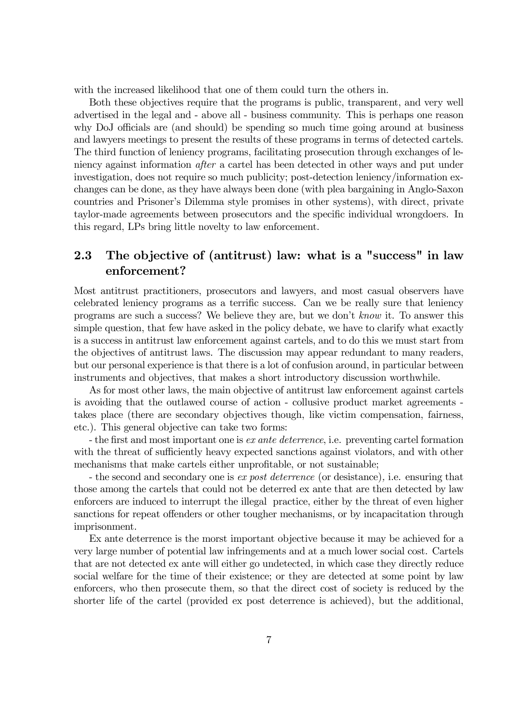with the increased likelihood that one of them could turn the others in.

Both these objectives require that the programs is public, transparent, and very well advertised in the legal and - above all - business community. This is perhaps one reason why DoJ officials are (and should) be spending so much time going around at business and lawyers meetings to present the results of these programs in terms of detected cartels. The third function of leniency programs, facilitating prosecution through exchanges of leniency against information after a cartel has been detected in other ways and put under investigation, does not require so much publicity; post-detection leniency/information exchanges can be done, as they have always been done (with plea bargaining in Anglo-Saxon countries and Prisonerís Dilemma style promises in other systems), with direct, private taylor-made agreements between prosecutors and the specific individual wrongdoers. In this regard, LPs bring little novelty to law enforcement.

# 2.3 The objective of (antitrust) law: what is a "success" in law enforcement?

Most antitrust practitioners, prosecutors and lawyers, and most casual observers have celebrated leniency programs as a terrific success. Can we be really sure that leniency programs are such a success? We believe they are, but we donít know it. To answer this simple question, that few have asked in the policy debate, we have to clarify what exactly is a success in antitrust law enforcement against cartels, and to do this we must start from the objectives of antitrust laws. The discussion may appear redundant to many readers, but our personal experience is that there is a lot of confusion around, in particular between instruments and objectives, that makes a short introductory discussion worthwhile.

As for most other laws, the main objective of antitrust law enforcement against cartels is avoiding that the outlawed course of action - collusive product market agreements takes place (there are secondary objectives though, like victim compensation, fairness, etc.). This general objective can take two forms:

- the first and most important one is ex ante deterrence, i.e. preventing cartel formation with the threat of sufficiently heavy expected sanctions against violators, and with other mechanisms that make cartels either unprofitable, or not sustainable;

- the second and secondary one is ex post deterrence (or desistance), i.e. ensuring that those among the cartels that could not be deterred ex ante that are then detected by law enforcers are induced to interrupt the illegal practice, either by the threat of even higher sanctions for repeat offenders or other tougher mechanisms, or by incapacitation through imprisonment.

Ex ante deterrence is the morst important objective because it may be achieved for a very large number of potential law infringements and at a much lower social cost. Cartels that are not detected ex ante will either go undetected, in which case they directly reduce social welfare for the time of their existence; or they are detected at some point by law enforcers, who then prosecute them, so that the direct cost of society is reduced by the shorter life of the cartel (provided ex post deterrence is achieved), but the additional,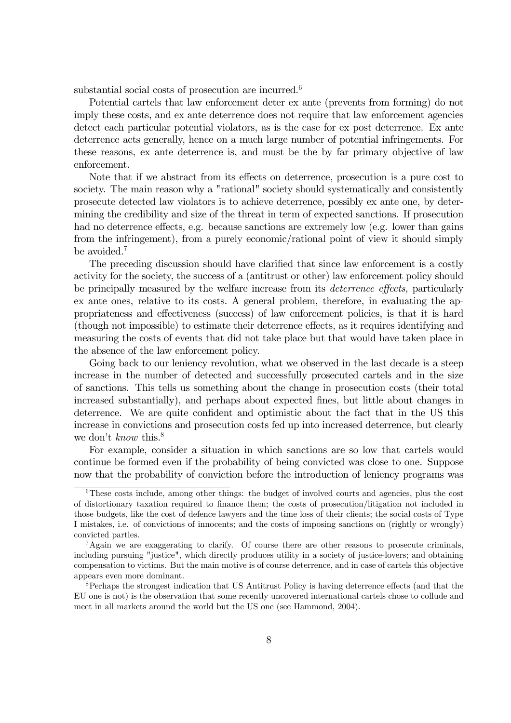substantial social costs of prosecution are incurred.<sup>6</sup>

Potential cartels that law enforcement deter ex ante (prevents from forming) do not imply these costs, and ex ante deterrence does not require that law enforcement agencies detect each particular potential violators, as is the case for ex post deterrence. Ex ante deterrence acts generally, hence on a much large number of potential infringements. For these reasons, ex ante deterrence is, and must be the by far primary objective of law enforcement.

Note that if we abstract from its effects on deterrence, prosecution is a pure cost to society. The main reason why a "rational" society should systematically and consistently prosecute detected law violators is to achieve deterrence, possibly ex ante one, by determining the credibility and size of the threat in term of expected sanctions. If prosecution had no deterrence effects, e.g. because sanctions are extremely low (e.g. lower than gains from the infringement), from a purely economic/rational point of view it should simply be avoided.7

The preceding discussion should have clarified that since law enforcement is a costly activity for the society, the success of a (antitrust or other) law enforcement policy should be principally measured by the welfare increase from its deterrence effects, particularly ex ante ones, relative to its costs. A general problem, therefore, in evaluating the appropriateness and effectiveness (success) of law enforcement policies, is that it is hard (though not impossible) to estimate their deterrence effects, as it requires identifying and measuring the costs of events that did not take place but that would have taken place in the absence of the law enforcement policy.

Going back to our leniency revolution, what we observed in the last decade is a steep increase in the number of detected and successfully prosecuted cartels and in the size of sanctions. This tells us something about the change in prosecution costs (their total increased substantially), and perhaps about expected fines, but little about changes in deterrence. We are quite confident and optimistic about the fact that in the US this increase in convictions and prosecution costs fed up into increased deterrence, but clearly we don't *know* this.<sup>8</sup>

For example, consider a situation in which sanctions are so low that cartels would continue be formed even if the probability of being convicted was close to one. Suppose now that the probability of conviction before the introduction of leniency programs was

<sup>&</sup>lt;sup>6</sup>These costs include, among other things: the budget of involved courts and agencies, plus the cost of distortionary taxation required to finance them; the costs of prosecution/litigation not included in those budgets, like the cost of defence lawyers and the time loss of their clients; the social costs of Type I mistakes, i.e. of convictions of innocents; and the costs of imposing sanctions on (rightly or wrongly) convicted parties.

<sup>&</sup>lt;sup>7</sup>Again we are exaggerating to clarify. Of course there are other reasons to prosecute criminals, including pursuing "justice", which directly produces utility in a society of justice-lovers; and obtaining compensation to victims. But the main motive is of course deterrence, and in case of cartels this objective appears even more dominant.

<sup>8</sup>Perhaps the strongest indication that US Antitrust Policy is having deterrence effects (and that the EU one is not) is the observation that some recently uncovered international cartels chose to collude and meet in all markets around the world but the US one (see Hammond, 2004).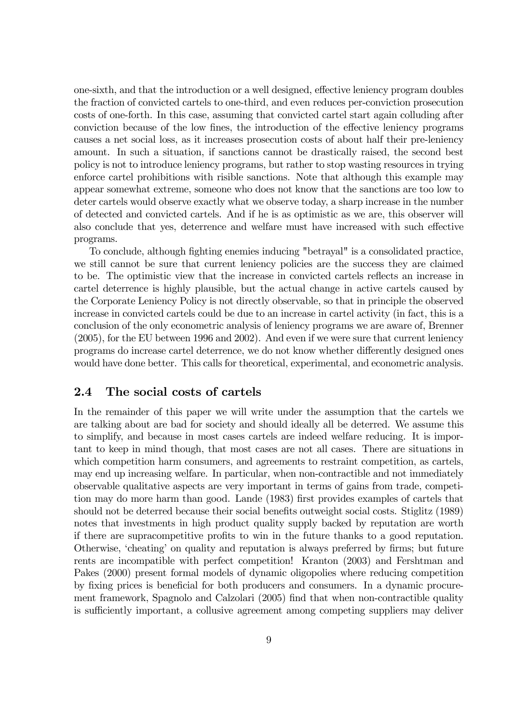one-sixth, and that the introduction or a well designed, effective leniency program doubles the fraction of convicted cartels to one-third, and even reduces per-conviction prosecution costs of one-forth. In this case, assuming that convicted cartel start again colluding after conviction because of the low fines, the introduction of the effective leniency programs causes a net social loss, as it increases prosecution costs of about half their pre-leniency amount. In such a situation, if sanctions cannot be drastically raised, the second best policy is not to introduce leniency programs, but rather to stop wasting resources in trying enforce cartel prohibitions with risible sanctions. Note that although this example may appear somewhat extreme, someone who does not know that the sanctions are too low to deter cartels would observe exactly what we observe today, a sharp increase in the number of detected and convicted cartels. And if he is as optimistic as we are, this observer will also conclude that yes, deterrence and welfare must have increased with such effective programs.

To conclude, although fighting enemies inducing "betrayal" is a consolidated practice, we still cannot be sure that current leniency policies are the success they are claimed to be. The optimistic view that the increase in convicted cartels reflects an increase in cartel deterrence is highly plausible, but the actual change in active cartels caused by the Corporate Leniency Policy is not directly observable, so that in principle the observed increase in convicted cartels could be due to an increase in cartel activity (in fact, this is a conclusion of the only econometric analysis of leniency programs we are aware of, Brenner (2005), for the EU between 1996 and 2002). And even if we were sure that current leniency programs do increase cartel deterrence, we do not know whether differently designed ones would have done better. This calls for theoretical, experimental, and econometric analysis.

# 2.4 The social costs of cartels

In the remainder of this paper we will write under the assumption that the cartels we are talking about are bad for society and should ideally all be deterred. We assume this to simplify, and because in most cases cartels are indeed welfare reducing. It is important to keep in mind though, that most cases are not all cases. There are situations in which competition harm consumers, and agreements to restraint competition, as cartels, may end up increasing welfare. In particular, when non-contractible and not immediately observable qualitative aspects are very important in terms of gains from trade, competition may do more harm than good. Lande (1983) first provides examples of cartels that should not be deterred because their social benefits outweight social costs. Stiglitz (1989) notes that investments in high product quality supply backed by reputation are worth if there are supracompetitive profits to win in the future thanks to a good reputation. Otherwise, 'cheating' on quality and reputation is always preferred by firms; but future rents are incompatible with perfect competition! Kranton (2003) and Fershtman and Pakes (2000) present formal models of dynamic oligopolies where reducing competition by fixing prices is beneficial for both producers and consumers. In a dynamic procurement framework, Spagnolo and Calzolari (2005) find that when non-contractible quality is sufficiently important, a collusive agreement among competing suppliers may deliver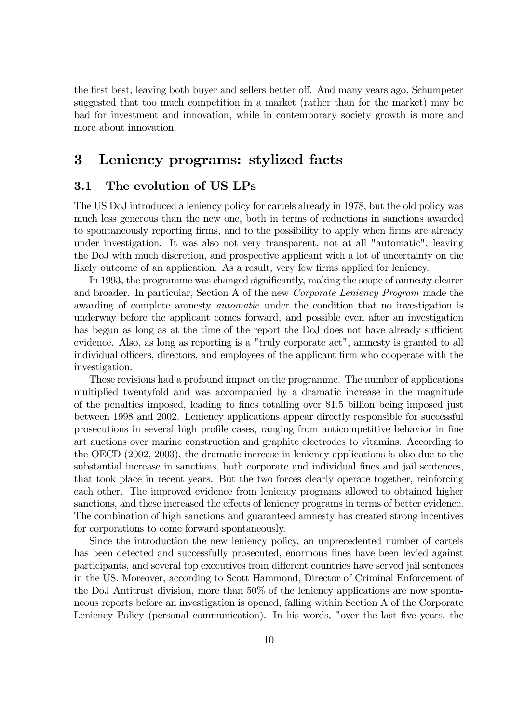the first best, leaving both buyer and sellers better off. And many years ago, Schumpeter suggested that too much competition in a market (rather than for the market) may be bad for investment and innovation, while in contemporary society growth is more and more about innovation.

# 3 Leniency programs: stylized facts

# 3.1 The evolution of US LPs

The US DoJ introduced a leniency policy for cartels already in 1978, but the old policy was much less generous than the new one, both in terms of reductions in sanctions awarded to spontaneously reporting firms, and to the possibility to apply when firms are already under investigation. It was also not very transparent, not at all "automatic", leaving the DoJ with much discretion, and prospective applicant with a lot of uncertainty on the likely outcome of an application. As a result, very few firms applied for leniency.

In 1993, the programme was changed significantly, making the scope of amnesty clearer and broader. In particular, Section A of the new Corporate Leniency Program made the awarding of complete amnesty automatic under the condition that no investigation is underway before the applicant comes forward, and possible even after an investigation has begun as long as at the time of the report the DoJ does not have already sufficient evidence. Also, as long as reporting is a "truly corporate act", amnesty is granted to all individual officers, directors, and employees of the applicant firm who cooperate with the investigation.

These revisions had a profound impact on the programme. The number of applications multiplied twentyfold and was accompanied by a dramatic increase in the magnitude of the penalties imposed, leading to fines totalling over \$1.5 billion being imposed just between 1998 and 2002. Leniency applications appear directly responsible for successful prosecutions in several high profile cases, ranging from anticompetitive behavior in fine art auctions over marine construction and graphite electrodes to vitamins. According to the OECD (2002, 2003), the dramatic increase in leniency applications is also due to the substantial increase in sanctions, both corporate and individual fines and jail sentences, that took place in recent years. But the two forces clearly operate together, reinforcing each other. The improved evidence from leniency programs allowed to obtained higher sanctions, and these increased the effects of leniency programs in terms of better evidence. The combination of high sanctions and guaranteed amnesty has created strong incentives for corporations to come forward spontaneously.

Since the introduction the new leniency policy, an unprecedented number of cartels has been detected and successfully prosecuted, enormous fines have been levied against participants, and several top executives from different countries have served jail sentences in the US. Moreover, according to Scott Hammond, Director of Criminal Enforcement of the DoJ Antitrust division, more than 50% of the leniency applications are now spontaneous reports before an investigation is opened, falling within Section A of the Corporate Leniency Policy (personal communication). In his words, "over the last five years, the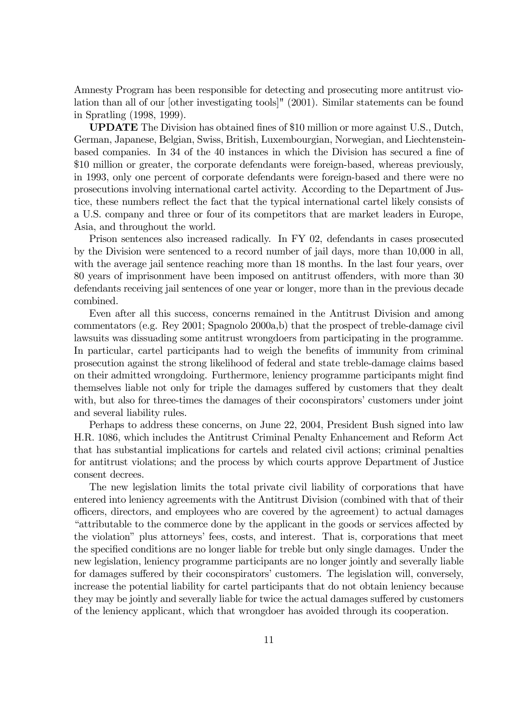Amnesty Program has been responsible for detecting and prosecuting more antitrust violation than all of our [other investigating tools]" (2001). Similar statements can be found in Spratling (1998, 1999).

UPDATE The Division has obtained fines of \$10 million or more against U.S., Dutch, German, Japanese, Belgian, Swiss, British, Luxembourgian, Norwegian, and Liechtensteinbased companies. In 34 of the 40 instances in which the Division has secured a fine of \$10 million or greater, the corporate defendants were foreign-based, whereas previously, in 1993, only one percent of corporate defendants were foreign-based and there were no prosecutions involving international cartel activity. According to the Department of Justice, these numbers reflect the fact that the typical international cartel likely consists of a U.S. company and three or four of its competitors that are market leaders in Europe, Asia, and throughout the world.

Prison sentences also increased radically. In FY 02, defendants in cases prosecuted by the Division were sentenced to a record number of jail days, more than 10,000 in all, with the average jail sentence reaching more than 18 months. In the last four years, over 80 years of imprisonment have been imposed on antitrust offenders, with more than 30 defendants receiving jail sentences of one year or longer, more than in the previous decade combined.

Even after all this success, concerns remained in the Antitrust Division and among commentators (e.g. Rey 2001; Spagnolo 2000a,b) that the prospect of treble-damage civil lawsuits was dissuading some antitrust wrongdoers from participating in the programme. In particular, cartel participants had to weigh the benefits of immunity from criminal prosecution against the strong likelihood of federal and state treble-damage claims based on their admitted wrongdoing. Furthermore, leniency programme participants might find themselves liable not only for triple the damages suffered by customers that they dealt with, but also for three-times the damages of their coconspirators' customers under joint and several liability rules.

Perhaps to address these concerns, on June 22, 2004, President Bush signed into law H.R. 1086, which includes the Antitrust Criminal Penalty Enhancement and Reform Act that has substantial implications for cartels and related civil actions; criminal penalties for antitrust violations; and the process by which courts approve Department of Justice consent decrees.

The new legislation limits the total private civil liability of corporations that have entered into leniency agreements with the Antitrust Division (combined with that of their officers, directors, and employees who are covered by the agreement) to actual damages ìattributable to the commerce done by the applicant in the goods or services affected by the violationî plus attorneysí fees, costs, and interest. That is, corporations that meet the specified conditions are no longer liable for treble but only single damages. Under the new legislation, leniency programme participants are no longer jointly and severally liable for damages suffered by their coconspirators' customers. The legislation will, conversely, increase the potential liability for cartel participants that do not obtain leniency because they may be jointly and severally liable for twice the actual damages suffered by customers of the leniency applicant, which that wrongdoer has avoided through its cooperation.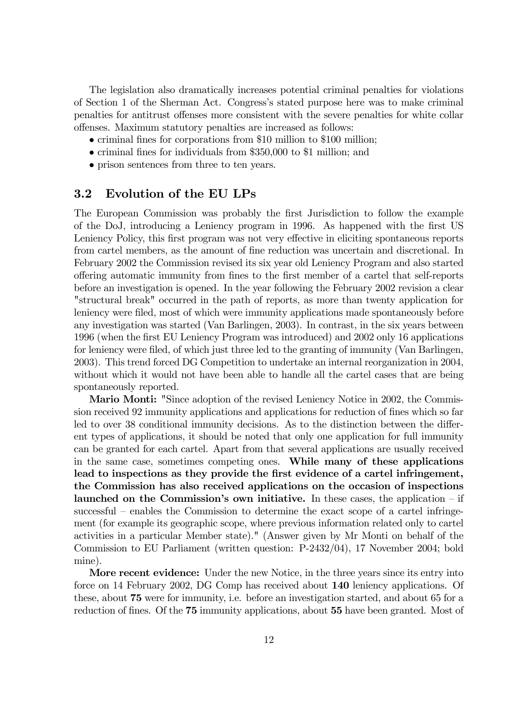The legislation also dramatically increases potential criminal penalties for violations of Section 1 of the Sherman Act. Congressís stated purpose here was to make criminal penalties for antitrust offenses more consistent with the severe penalties for white collar offenses. Maximum statutory penalties are increased as follows:

- $\bullet$  criminal fines for corporations from \$10 million to \$100 million;
- criminal fines for individuals from \$350,000 to \$1 million; and
- prison sentences from three to ten years.

# 3.2 Evolution of the EU LPs

The European Commission was probably the first Jurisdiction to follow the example of the DoJ, introducing a Leniency program in 1996. As happened with the first US Leniency Policy, this first program was not very effective in eliciting spontaneous reports from cartel members, as the amount of fine reduction was uncertain and discretional. In February 2002 the Commission revised its six year old Leniency Program and also started offering automatic immunity from fines to the first member of a cartel that self-reports before an investigation is opened. In the year following the February 2002 revision a clear "structural break" occurred in the path of reports, as more than twenty application for leniency were filed, most of which were immunity applications made spontaneously before any investigation was started (Van Barlingen, 2003). In contrast, in the six years between 1996 (when the first EU Leniency Program was introduced) and 2002 only 16 applications for leniency were filed, of which just three led to the granting of immunity (Van Barlingen, 2003). This trend forced DG Competition to undertake an internal reorganization in 2004, without which it would not have been able to handle all the cartel cases that are being spontaneously reported.

Mario Monti: "Since adoption of the revised Leniency Notice in 2002, the Commission received 92 immunity applications and applications for reduction of fines which so far led to over 38 conditional immunity decisions. As to the distinction between the different types of applications, it should be noted that only one application for full immunity can be granted for each cartel. Apart from that several applications are usually received in the same case, sometimes competing ones. While many of these applications lead to inspections as they provide the first evidence of a cartel infringement, the Commission has also received applications on the occasion of inspections launched on the Commission's own initiative. In these cases, the application  $-$  if  $s$ uccessful – enables the Commission to determine the exact scope of a cartel infringement (for example its geographic scope, where previous information related only to cartel activities in a particular Member state)." (Answer given by Mr Monti on behalf of the Commission to EU Parliament (written question: P-2432/04), 17 November 2004; bold mine).

More recent evidence: Under the new Notice, in the three years since its entry into force on 14 February 2002, DG Comp has received about 140 leniency applications. Of these, about 75 were for immunity, i.e. before an investigation started, and about 65 for a reduction of fines. Of the 75 immunity applications, about 55 have been granted. Most of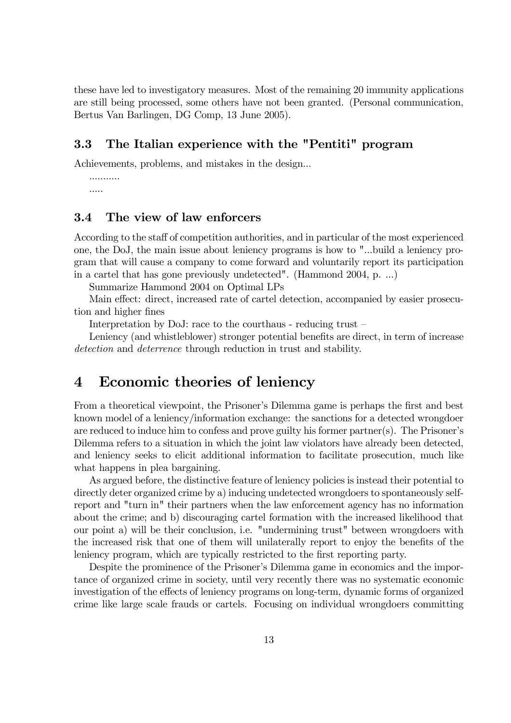these have led to investigatory measures. Most of the remaining 20 immunity applications are still being processed, some others have not been granted. (Personal communication, Bertus Van Barlingen, DG Comp, 13 June 2005).

# 3.3 The Italian experience with the "Pentiti" program

Achievements, problems, and mistakes in the design...

........... .....

# 3.4 The view of law enforcers

According to the staff of competition authorities, and in particular of the most experienced one, the DoJ, the main issue about leniency programs is how to "...build a leniency program that will cause a company to come forward and voluntarily report its participation in a cartel that has gone previously undetected". (Hammond 2004, p. ...)

Summarize Hammond 2004 on Optimal LPs

Main effect: direct, increased rate of cartel detection, accompanied by easier prosecution and higher fines

Interpretation by DoJ: race to the courthaus - reducing trust  $-\frac{1}{2}$ 

Leniency (and whistleblower) stronger potential benefits are direct, in term of increase detection and deterrence through reduction in trust and stability.

# 4 Economic theories of leniency

From a theoretical viewpoint, the Prisoner's Dilemma game is perhaps the first and best known model of a leniency/information exchange: the sanctions for a detected wrongdoer are reduced to induce him to confess and prove guilty his former partner(s). The Prisonerís Dilemma refers to a situation in which the joint law violators have already been detected, and leniency seeks to elicit additional information to facilitate prosecution, much like what happens in plea bargaining.

As argued before, the distinctive feature of leniency policies is instead their potential to directly deter organized crime by a) inducing undetected wrongdoers to spontaneously selfreport and "turn in" their partners when the law enforcement agency has no information about the crime; and b) discouraging cartel formation with the increased likelihood that our point a) will be their conclusion, i.e. "undermining trust" between wrongdoers with the increased risk that one of them will unilaterally report to enjoy the benefits of the leniency program, which are typically restricted to the first reporting party.

Despite the prominence of the Prisoner's Dilemma game in economics and the importance of organized crime in society, until very recently there was no systematic economic investigation of the effects of leniency programs on long-term, dynamic forms of organized crime like large scale frauds or cartels. Focusing on individual wrongdoers committing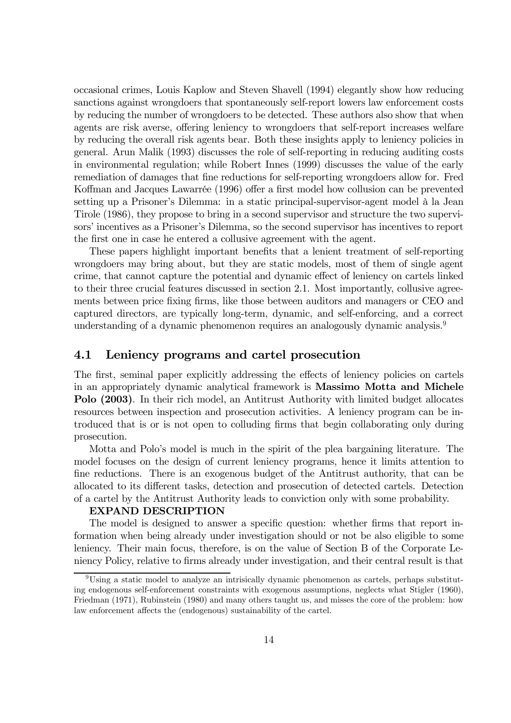occasional crimes, Louis Kaplow and Steven Shavell (1994) elegantly show how reducing sanctions against wrongdoers that spontaneously self-report lowers law enforcement costs by reducing the number of wrongdoers to be detected. These authors also show that when agents are risk averse, offering leniency to wrongdoers that self-report increases welfare by reducing the overall risk agents bear. Both these insights apply to leniency policies in general. Arun Malik (1993) discusses the role of self-reporting in reducing auditing costs in environmental regulation; while Robert Innes (1999) discusses the value of the early remediation of damages that fine reductions for self-reporting wrongdoers allow for. Fred Koffman and Jacques Lawarrée (1996) offer a first model how collusion can be prevented setting up a Prisoner's Dilemma: in a static principal-supervisor-agent model à la Jean Tirole (1986), they propose to bring in a second supervisor and structure the two supervisors' incentives as a Prisoner's Dilemma, so the second supervisor has incentives to report the first one in case he entered a collusive agreement with the agent.

These papers highlight important benefits that a lenient treatment of self-reporting wrongdoers may bring about, but they are static models, most of them of single agent crime, that cannot capture the potential and dynamic effect of leniency on cartels linked to their three crucial features discussed in section 2.1. Most importantly, collusive agreements between price fixing firms, like those between auditors and managers or CEO and captured directors, are typically long-term, dynamic, and self-enforcing, and a correct understanding of a dynamic phenomenon requires an analogously dynamic analysis.<sup>9</sup>

# 4.1 Leniency programs and cartel prosecution

The first, seminal paper explicitly addressing the effects of leniency policies on cartels in an appropriately dynamic analytical framework is Massimo Motta and Michele Polo (2003). In their rich model, an Antitrust Authority with limited budget allocates resources between inspection and prosecution activities. A leniency program can be introduced that is or is not open to colluding firms that begin collaborating only during prosecution.

Motta and Polo's model is much in the spirit of the plea bargaining literature. The model focuses on the design of current leniency programs, hence it limits attention to fine reductions. There is an exogenous budget of the Antitrust authority, that can be allocated to its different tasks, detection and prosecution of detected cartels. Detection of a cartel by the Antitrust Authority leads to conviction only with some probability.

#### EXPAND DESCRIPTION

The model is designed to answer a specific question: whether firms that report information when being already under investigation should or not be also eligible to some leniency. Their main focus, therefore, is on the value of Section B of the Corporate Leniency Policy, relative to firms already under investigation, and their central result is that

<sup>9</sup>Using a static model to analyze an intrisically dynamic phenomenon as cartels, perhaps substituting endogenous self-enforcement constraints with exogenous assumptions, neglects what Stigler (1960), Friedman (1971), Rubinstein (1980) and many others taught us, and misses the core of the problem: how law enforcement affects the (endogenous) sustainability of the cartel.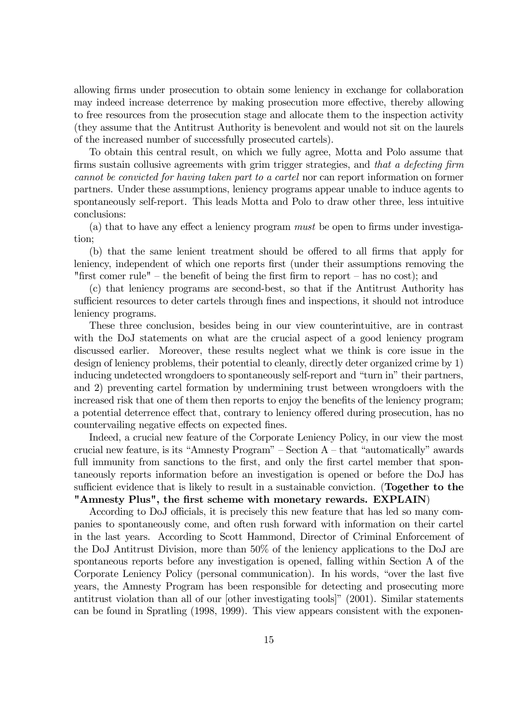allowing firms under prosecution to obtain some leniency in exchange for collaboration may indeed increase deterrence by making prosecution more effective, thereby allowing to free resources from the prosecution stage and allocate them to the inspection activity (they assume that the Antitrust Authority is benevolent and would not sit on the laurels of the increased number of successfully prosecuted cartels).

To obtain this central result, on which we fully agree, Motta and Polo assume that firms sustain collusive agreements with grim trigger strategies, and that a defecting firm cannot be convicted for having taken part to a cartel nor can report information on former partners. Under these assumptions, leniency programs appear unable to induce agents to spontaneously self-report. This leads Motta and Polo to draw other three, less intuitive conclusions:

(a) that to have any effect a leniency program must be open to firms under investigation;

(b) that the same lenient treatment should be offered to all firms that apply for leniency, independent of which one reports first (under their assumptions removing the "first comer rule" – the benefit of being the first firm to report – has no cost); and

(c) that leniency programs are second-best, so that if the Antitrust Authority has sufficient resources to deter cartels through fines and inspections, it should not introduce leniency programs.

These three conclusion, besides being in our view counterintuitive, are in contrast with the DoJ statements on what are the crucial aspect of a good leniency program discussed earlier. Moreover, these results neglect what we think is core issue in the design of leniency problems, their potential to cleanly, directly deter organized crime by 1) inducing undetected wrongdoers to spontaneously self-report and "turn in" their partners, and 2) preventing cartel formation by undermining trust between wrongdoers with the increased risk that one of them then reports to enjoy the benefits of the leniency program; a potential deterrence effect that, contrary to leniency offered during prosecution, has no countervailing negative effects on expected fines.

Indeed, a crucial new feature of the Corporate Leniency Policy, in our view the most crucial new feature, is its "Amnesty Program"  $-$  Section A  $-$  that "automatically" awards full immunity from sanctions to the first, and only the first cartel member that spontaneously reports information before an investigation is opened or before the DoJ has sufficient evidence that is likely to result in a sustainable conviction. (Together to the "Amnesty Plus", the first scheme with monetary rewards. EXPLAIN)

According to DoJ officials, it is precisely this new feature that has led so many companies to spontaneously come, and often rush forward with information on their cartel in the last years. According to Scott Hammond, Director of Criminal Enforcement of the DoJ Antitrust Division, more than 50% of the leniency applications to the DoJ are spontaneous reports before any investigation is opened, falling within Section A of the Corporate Leniency Policy (personal communication). In his words, "over the last five years, the Amnesty Program has been responsible for detecting and prosecuting more antitrust violation than all of our [other investigating tools]" (2001). Similar statements can be found in Spratling (1998, 1999). This view appears consistent with the exponen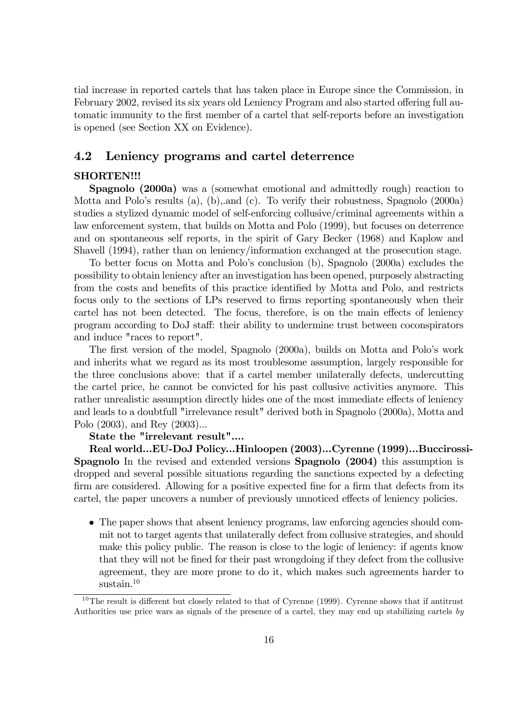tial increase in reported cartels that has taken place in Europe since the Commission, in February 2002, revised its six years old Leniency Program and also started offering full automatic immunity to the first member of a cartel that self-reports before an investigation is opened (see Section XX on Evidence).

## 4.2 Leniency programs and cartel deterrence

## SHORTEN!!!

Spagnolo (2000a) was a (somewhat emotional and admittedly rough) reaction to Motta and Polo's results (a), (b), and (c). To verify their robustness, Spagnolo (2000a) studies a stylized dynamic model of self-enforcing collusive/criminal agreements within a law enforcement system, that builds on Motta and Polo (1999), but focuses on deterrence and on spontaneous self reports, in the spirit of Gary Becker (1968) and Kaplow and Shavell (1994), rather than on leniency/information exchanged at the prosecution stage.

To better focus on Motta and Poloís conclusion (b), Spagnolo (2000a) excludes the possibility to obtain leniency after an investigation has been opened, purposely abstracting from the costs and benefits of this practice identified by Motta and Polo, and restricts focus only to the sections of LPs reserved to firms reporting spontaneously when their cartel has not been detected. The focus, therefore, is on the main effects of leniency program according to DoJ staff: their ability to undermine trust between coconspirators and induce "races to report".

The first version of the model, Spagnolo (2000a), builds on Motta and Polo's work and inherits what we regard as its most troublesome assumption, largely responsible for the three conclusions above: that if a cartel member unilaterally defects, undercutting the cartel price, he cannot be convicted for his past collusive activities anymore. This rather unrealistic assumption directly hides one of the most immediate effects of leniency and leads to a doubtfull "irrelevance result" derived both in Spagnolo (2000a), Motta and Polo (2003), and Rey (2003)...

#### State the "irrelevant result"....

Real world...EU-DoJ Policy...Hinloopen (2003)...Cyrenne (1999)...Buccirossi-Spagnolo In the revised and extended versions Spagnolo (2004) this assumption is dropped and several possible situations regarding the sanctions expected by a defecting firm are considered. Allowing for a positive expected fine for a firm that defects from its cartel, the paper uncovers a number of previously unnoticed effects of leniency policies.

• The paper shows that absent leniency programs, law enforcing agencies should commit not to target agents that unilaterally defect from collusive strategies, and should make this policy public. The reason is close to the logic of leniency: if agents know that they will not be fined for their past wrongdoing if they defect from the collusive agreement, they are more prone to do it, which makes such agreements harder to sustain.<sup>10</sup>

 $10$ The result is different but closely related to that of Cyrenne (1999). Cyrenne shows that if antitrust Authorities use price wars as signals of the presence of a cartel, they may end up stabilizing cartels by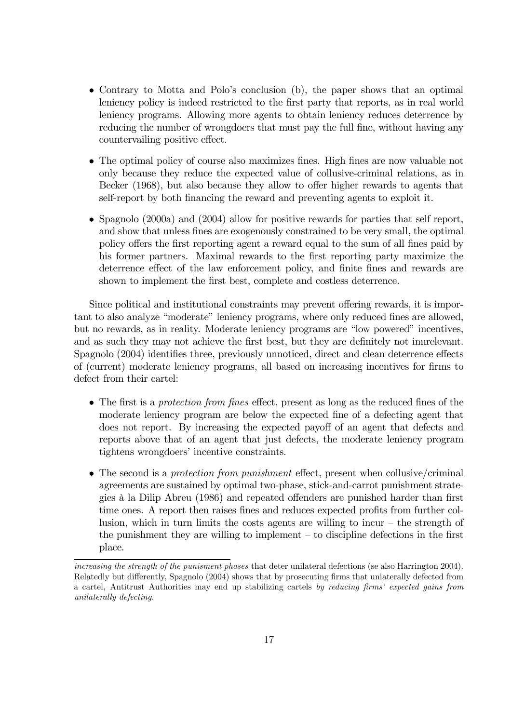- Contrary to Motta and Polo's conclusion (b), the paper shows that an optimal leniency policy is indeed restricted to the first party that reports, as in real world leniency programs. Allowing more agents to obtain leniency reduces deterrence by reducing the number of wrongdoers that must pay the full fine, without having any countervailing positive effect.
- The optimal policy of course also maximizes fines. High fines are now valuable not only because they reduce the expected value of collusive-criminal relations, as in Becker (1968), but also because they allow to offer higher rewards to agents that self-report by both financing the reward and preventing agents to exploit it.
- $\bullet$  Spagnolo (2000a) and (2004) allow for positive rewards for parties that self report, and show that unless fines are exogenously constrained to be very small, the optimal policy offers the first reporting agent a reward equal to the sum of all fines paid by his former partners. Maximal rewards to the first reporting party maximize the deterrence effect of the law enforcement policy, and finite fines and rewards are shown to implement the first best, complete and costless deterrence.

Since political and institutional constraints may prevent offering rewards, it is important to also analyze "moderate" leniency programs, where only reduced fines are allowed, but no rewards, as in reality. Moderate leniency programs are "low powered" incentives, and as such they may not achieve the first best, but they are definitely not innrelevant. Spagnolo (2004) identifies three, previously unnoticed, direct and clean deterrence effects of (current) moderate leniency programs, all based on increasing incentives for firms to defect from their cartel:

- The first is a *protection from fines* effect, present as long as the reduced fines of the moderate leniency program are below the expected fine of a defecting agent that does not report. By increasing the expected payoff of an agent that defects and reports above that of an agent that just defects, the moderate leniency program tightens wrongdoers' incentive constraints.
- $\bullet$  The second is a protection from punishment effect, present when collusive/criminal agreements are sustained by optimal two-phase, stick-and-carrot punishment strategies à la Dilip Abreu (1986) and repeated offenders are punished harder than first time ones. A report then raises fines and reduces expected profits from further collusion, which in turn limits the costs agents are willing to incur  $-$  the strength of the punishment they are willing to implement  $-$  to discipline defections in the first place.

increasing the strength of the punisment phases that deter unilateral defections (se also Harrington 2004). Relatedly but differently, Spagnolo (2004) shows that by prosecuting firms that uniaterally defected from a cartel, Antitrust Authorities may end up stabilizing cartels by reducing firms' expected gains from unilaterally defecting.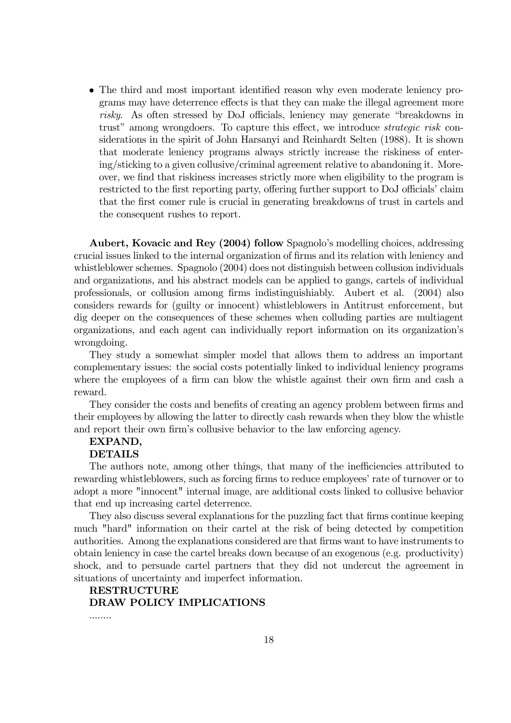• The third and most important identified reason why even moderate leniency programs may have deterrence effects is that they can make the illegal agreement more risky. As often stressed by DoJ officials, leniency may generate "breakdowns in trust" among wrongdoers. To capture this effect, we introduce *strategic risk* considerations in the spirit of John Harsanyi and Reinhardt Selten (1988). It is shown that moderate leniency programs always strictly increase the riskiness of entering/sticking to a given collusive/criminal agreement relative to abandoning it. Moreover, we find that riskiness increases strictly more when eligibility to the program is restricted to the first reporting party, offering further support to DoJ officials' claim that the first comer rule is crucial in generating breakdowns of trust in cartels and the consequent rushes to report.

Aubert, Kovacic and Rey (2004) follow Spagnolo's modelling choices, addressing crucial issues linked to the internal organization of firms and its relation with leniency and whistleblower schemes. Spagnolo (2004) does not distinguish between collusion individuals and organizations, and his abstract models can be applied to gangs, cartels of individual professionals, or collusion among firms indistinguishiably. Aubert et al. (2004) also considers rewards for (guilty or innocent) whistleblowers in Antitrust enforcement, but dig deeper on the consequences of these schemes when colluding parties are multiagent organizations, and each agent can individually report information on its organization's wrongdoing.

They study a somewhat simpler model that allows them to address an important complementary issues: the social costs potentially linked to individual leniency programs where the employees of a firm can blow the whistle against their own firm and cash a reward.

They consider the costs and benefits of creating an agency problem between firms and their employees by allowing the latter to directly cash rewards when they blow the whistle and report their own firmís collusive behavior to the law enforcing agency.

#### EXPAND,

#### DETAILS

The authors note, among other things, that many of the inefficiencies attributed to rewarding whistleblowers, such as forcing firms to reduce employees' rate of turnover or to adopt a more "innocent" internal image, are additional costs linked to collusive behavior that end up increasing cartel deterrence.

They also discuss several explanations for the puzzling fact that firms continue keeping much "hard" information on their cartel at the risk of being detected by competition authorities. Among the explanations considered are that firms want to have instruments to obtain leniency in case the cartel breaks down because of an exogenous (e.g. productivity) shock, and to persuade cartel partners that they did not undercut the agreement in situations of uncertainty and imperfect information.

## RESTRUCTURE DRAW POLICY IMPLICATIONS

........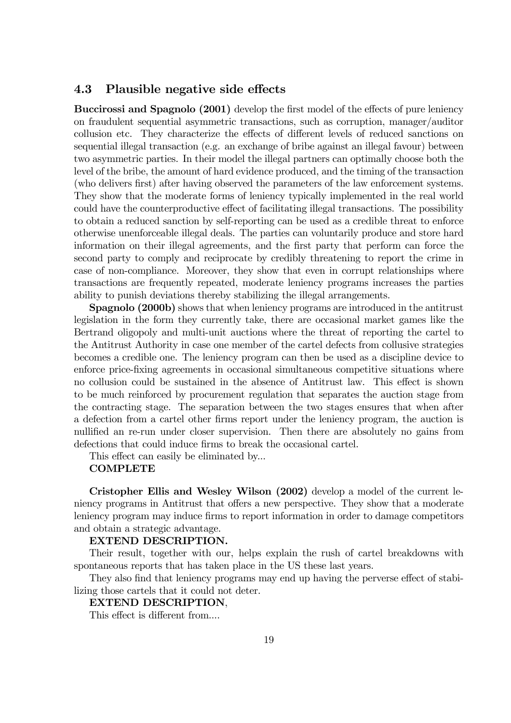# 4.3 Plausible negative side effects

Buccirossi and Spagnolo (2001) develop the first model of the effects of pure leniency on fraudulent sequential asymmetric transactions, such as corruption, manager/auditor collusion etc. They characterize the effects of different levels of reduced sanctions on sequential illegal transaction (e.g. an exchange of bribe against an illegal favour) between two asymmetric parties. In their model the illegal partners can optimally choose both the level of the bribe, the amount of hard evidence produced, and the timing of the transaction (who delivers first) after having observed the parameters of the law enforcement systems. They show that the moderate forms of leniency typically implemented in the real world could have the counterproductive effect of facilitating illegal transactions. The possibility to obtain a reduced sanction by self-reporting can be used as a credible threat to enforce otherwise unenforceable illegal deals. The parties can voluntarily produce and store hard information on their illegal agreements, and the first party that perform can force the second party to comply and reciprocate by credibly threatening to report the crime in case of non-compliance. Moreover, they show that even in corrupt relationships where transactions are frequently repeated, moderate leniency programs increases the parties ability to punish deviations thereby stabilizing the illegal arrangements.

Spagnolo (2000b) shows that when leniency programs are introduced in the antitrust legislation in the form they currently take, there are occasional market games like the Bertrand oligopoly and multi-unit auctions where the threat of reporting the cartel to the Antitrust Authority in case one member of the cartel defects from collusive strategies becomes a credible one. The leniency program can then be used as a discipline device to enforce price-fixing agreements in occasional simultaneous competitive situations where no collusion could be sustained in the absence of Antitrust law. This effect is shown to be much reinforced by procurement regulation that separates the auction stage from the contracting stage. The separation between the two stages ensures that when after a defection from a cartel other firms report under the leniency program, the auction is nullified an re-run under closer supervision. Then there are absolutely no gains from defections that could induce firms to break the occasional cartel.

This effect can easily be eliminated by...

#### **COMPLETE**

Cristopher Ellis and Wesley Wilson (2002) develop a model of the current leniency programs in Antitrust that offers a new perspective. They show that a moderate leniency program may induce firms to report information in order to damage competitors and obtain a strategic advantage.

#### EXTEND DESCRIPTION.

Their result, together with our, helps explain the rush of cartel breakdowns with spontaneous reports that has taken place in the US these last years.

They also find that leniency programs may end up having the perverse effect of stabilizing those cartels that it could not deter.

#### EXTEND DESCRIPTION,

This effect is different from....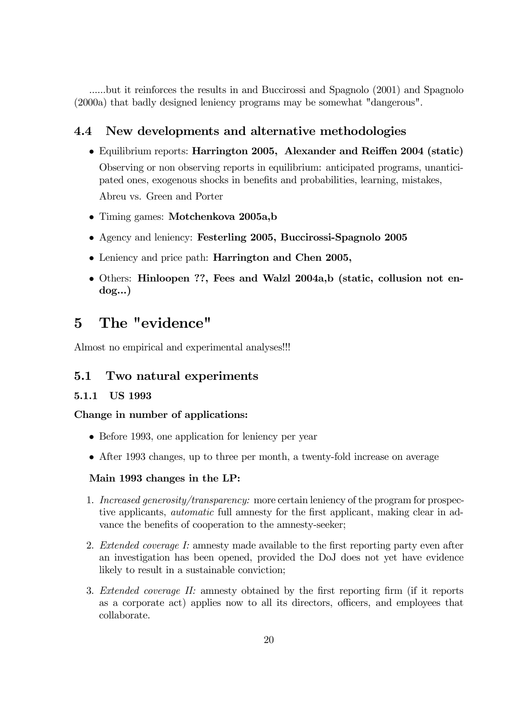......but it reinforces the results in and Buccirossi and Spagnolo (2001) and Spagnolo (2000a) that badly designed leniency programs may be somewhat "dangerous".

# 4.4 New developments and alternative methodologies

- Equilibrium reports: Harrington 2005, Alexander and Reiffen 2004 (static) Observing or non observing reports in equilibrium: anticipated programs, unanticipated ones, exogenous shocks in benefits and probabilities, learning, mistakes, Abreu vs. Green and Porter
- Timing games: Motchenkova 2005a,b
- Agency and leniency: Festerling 2005, Buccirossi-Spagnolo 2005
- Leniency and price path: Harrington and Chen 2005,
- Others: Hinloopen ??, Fees and Walzl 2004a,b (static, collusion not endog...)

# 5 The "evidence"

Almost no empirical and experimental analyses!!!

# 5.1 Two natural experiments

# 5.1.1 US 1993

# Change in number of applications:

- Before 1993, one application for leniency per year
- After 1993 changes, up to three per month, a twenty-fold increase on average

# Main 1993 changes in the LP:

- 1. Increased generosity/transparency: more certain leniency of the program for prospective applicants, automatic full amnesty for the first applicant, making clear in advance the benefits of cooperation to the amnesty-seeker;
- 2. Extended coverage I: amnesty made available to the first reporting party even after an investigation has been opened, provided the DoJ does not yet have evidence likely to result in a sustainable conviction;
- 3. Extended coverage II: amnesty obtained by the first reporting firm (if it reports as a corporate act) applies now to all its directors, officers, and employees that collaborate.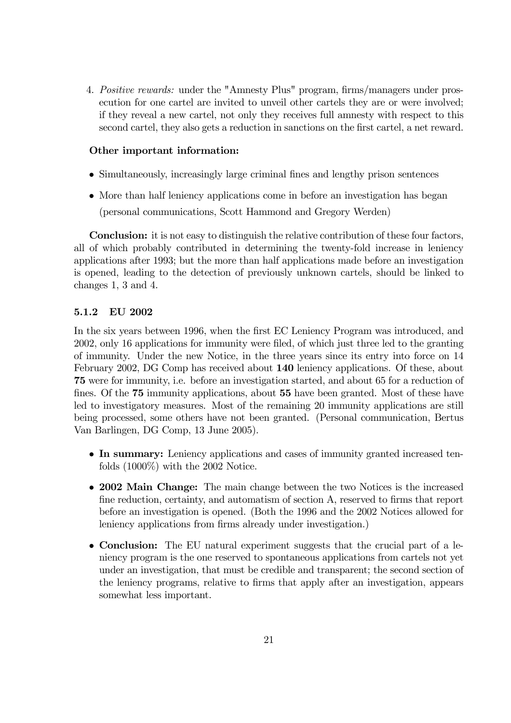4. Positive rewards: under the "Amnesty Plus" program, firms/managers under prosecution for one cartel are invited to unveil other cartels they are or were involved; if they reveal a new cartel, not only they receives full amnesty with respect to this second cartel, they also gets a reduction in sanctions on the first cartel, a net reward.

## Other important information:

- Simultaneously, increasingly large criminal fines and lengthy prison sentences
- More than half leniency applications come in before an investigation has began (personal communications, Scott Hammond and Gregory Werden)

Conclusion: it is not easy to distinguish the relative contribution of these four factors, all of which probably contributed in determining the twenty-fold increase in leniency applications after 1993; but the more than half applications made before an investigation is opened, leading to the detection of previously unknown cartels, should be linked to changes 1, 3 and 4.

## 5.1.2 EU 2002

In the six years between 1996, when the first EC Leniency Program was introduced, and 2002, only 16 applications for immunity were filed, of which just three led to the granting of immunity. Under the new Notice, in the three years since its entry into force on 14 February 2002, DG Comp has received about 140 leniency applications. Of these, about 75 were for immunity, i.e. before an investigation started, and about 65 for a reduction of fines. Of the 75 immunity applications, about 55 have been granted. Most of these have led to investigatory measures. Most of the remaining 20 immunity applications are still being processed, some others have not been granted. (Personal communication, Bertus Van Barlingen, DG Comp, 13 June 2005).

- In summary: Leniency applications and cases of immunity granted increased tenfolds (1000%) with the 2002 Notice.
- 2002 Main Change: The main change between the two Notices is the increased fine reduction, certainty, and automatism of section A, reserved to firms that report before an investigation is opened. (Both the 1996 and the 2002 Notices allowed for leniency applications from firms already under investigation.)
- Conclusion: The EU natural experiment suggests that the crucial part of a leniency program is the one reserved to spontaneous applications from cartels not yet under an investigation, that must be credible and transparent; the second section of the leniency programs, relative to firms that apply after an investigation, appears somewhat less important.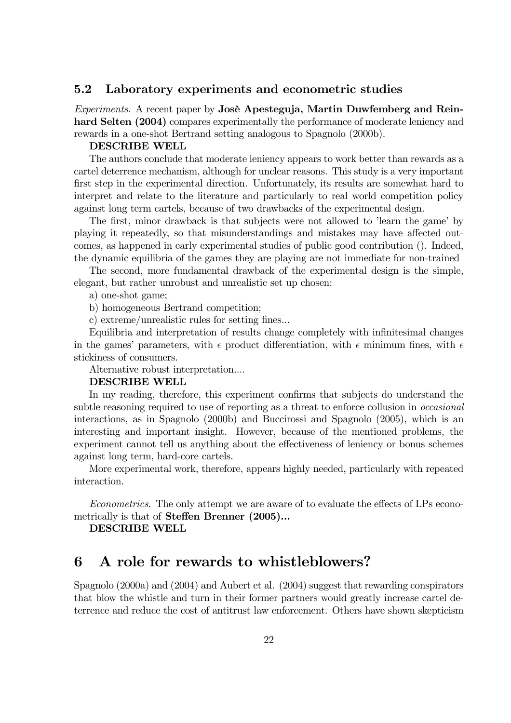## 5.2 Laboratory experiments and econometric studies

Experiments. A recent paper by Josè Apesteguja, Martin Duwfemberg and Reinhard Selten (2004) compares experimentally the performance of moderate leniency and rewards in a one-shot Bertrand setting analogous to Spagnolo (2000b).

#### DESCRIBE WELL

The authors conclude that moderate leniency appears to work better than rewards as a cartel deterrence mechanism, although for unclear reasons. This study is a very important first step in the experimental direction. Unfortunately, its results are somewhat hard to interpret and relate to the literature and particularly to real world competition policy against long term cartels, because of two drawbacks of the experimental design.

The first, minor drawback is that subjects were not allowed to 'learn the game' by playing it repeatedly, so that misunderstandings and mistakes may have affected outcomes, as happened in early experimental studies of public good contribution (). Indeed, the dynamic equilibria of the games they are playing are not immediate for non-trained

The second, more fundamental drawback of the experimental design is the simple, elegant, but rather unrobust and unrealistic set up chosen:

a) one-shot game;

b) homogeneous Bertrand competition;

c) extreme/unrealistic rules for setting fines...

Equilibria and interpretation of results change completely with infinitesimal changes in the games' parameters, with  $\epsilon$  product differentiation, with  $\epsilon$  minimum fines, with  $\epsilon$ stickiness of consumers.

Alternative robust interpretation....

## DESCRIBE WELL

In my reading, therefore, this experiment confirms that subjects do understand the subtle reasoning required to use of reporting as a threat to enforce collusion in *occasional* interactions, as in Spagnolo (2000b) and Buccirossi and Spagnolo (2005), which is an interesting and important insight. However, because of the mentioned problems, the experiment cannot tell us anything about the effectiveness of leniency or bonus schemes against long term, hard-core cartels.

More experimental work, therefore, appears highly needed, particularly with repeated interaction.

Econometrics. The only attempt we are aware of to evaluate the effects of LPs econometrically is that of Steffen Brenner (2005)...

DESCRIBE WELL

# 6 A role for rewards to whistleblowers?

Spagnolo (2000a) and (2004) and Aubert et al. (2004) suggest that rewarding conspirators that blow the whistle and turn in their former partners would greatly increase cartel deterrence and reduce the cost of antitrust law enforcement. Others have shown skepticism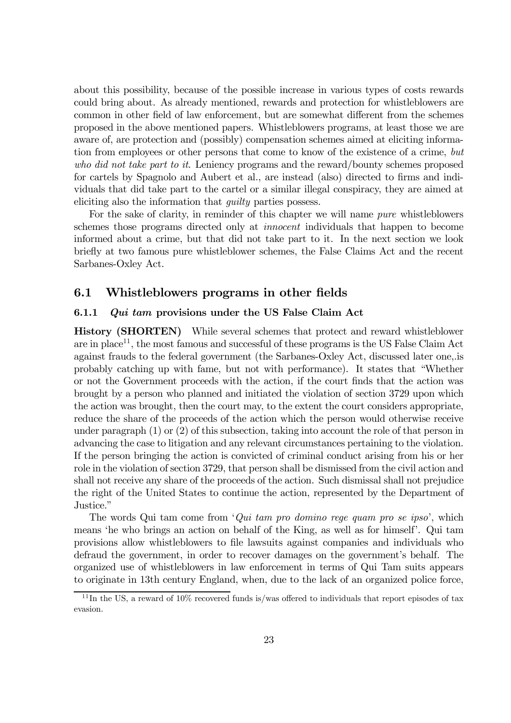about this possibility, because of the possible increase in various types of costs rewards could bring about. As already mentioned, rewards and protection for whistleblowers are common in other field of law enforcement, but are somewhat different from the schemes proposed in the above mentioned papers. Whistleblowers programs, at least those we are aware of, are protection and (possibly) compensation schemes aimed at eliciting information from employees or other persons that come to know of the existence of a crime, but who did not take part to it. Leniency programs and the reward/bounty schemes proposed for cartels by Spagnolo and Aubert et al., are instead (also) directed to firms and individuals that did take part to the cartel or a similar illegal conspiracy, they are aimed at eliciting also the information that guilty parties possess.

For the sake of clarity, in reminder of this chapter we will name pure whistleblowers schemes those programs directed only at innocent individuals that happen to become informed about a crime, but that did not take part to it. In the next section we look briefly at two famous pure whistleblower schemes, the False Claims Act and the recent Sarbanes-Oxley Act.

## 6.1 Whistleblowers programs in other fields

#### 6.1.1 Qui tam provisions under the US False Claim Act

History (SHORTEN) While several schemes that protect and reward whistleblower are in place<sup>11</sup>, the most famous and successful of these programs is the US False Claim Act against frauds to the federal government (the Sarbanes-Oxley Act, discussed later one,.is probably catching up with fame, but not with performance). It states that "Whether or not the Government proceeds with the action, if the court finds that the action was brought by a person who planned and initiated the violation of section 3729 upon which the action was brought, then the court may, to the extent the court considers appropriate, reduce the share of the proceeds of the action which the person would otherwise receive under paragraph (1) or (2) of this subsection, taking into account the role of that person in advancing the case to litigation and any relevant circumstances pertaining to the violation. If the person bringing the action is convicted of criminal conduct arising from his or her role in the violation of section 3729, that person shall be dismissed from the civil action and shall not receive any share of the proceeds of the action. Such dismissal shall not prejudice the right of the United States to continue the action, represented by the Department of Justice."

The words Qui tam come from  $'Qui \tan pro$  domino rege quam pro se ipso', which means 'he who brings an action on behalf of the King, as well as for himself'. Qui tam provisions allow whistleblowers to file lawsuits against companies and individuals who defraud the government, in order to recover damages on the government's behalf. The organized use of whistleblowers in law enforcement in terms of Qui Tam suits appears to originate in 13th century England, when, due to the lack of an organized police force,

 $11$ In the US, a reward of 10% recovered funds is/was offered to individuals that report episodes of tax evasion.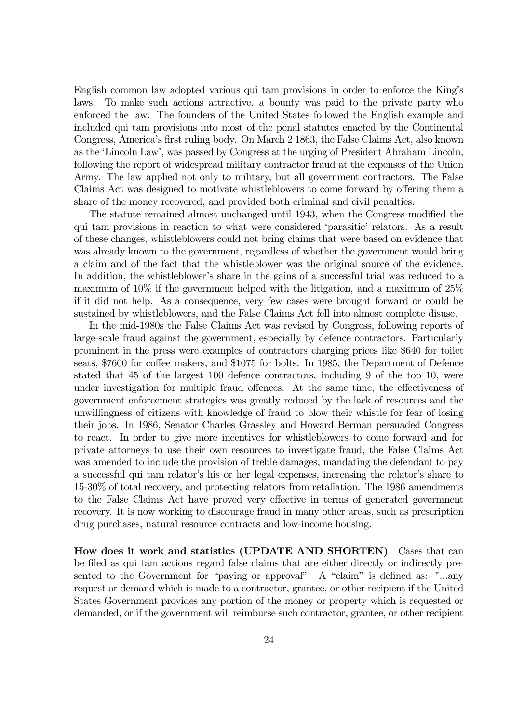English common law adopted various qui tam provisions in order to enforce the Kingís laws. To make such actions attractive, a bounty was paid to the private party who enforced the law. The founders of the United States followed the English example and included qui tam provisions into most of the penal statutes enacted by the Continental Congress, Americaís first ruling body. On March 2 1863, the False Claims Act, also known as the 'Lincoln Law', was passed by Congress at the urging of President Abraham Lincoln, following the report of widespread military contractor fraud at the expenses of the Union Army. The law applied not only to military, but all government contractors. The False Claims Act was designed to motivate whistleblowers to come forward by offering them a share of the money recovered, and provided both criminal and civil penalties.

The statute remained almost unchanged until 1943, when the Congress modified the qui tam provisions in reaction to what were considered 'parasitic' relators. As a result of these changes, whistleblowers could not bring claims that were based on evidence that was already known to the government, regardless of whether the government would bring a claim and of the fact that the whistleblower was the original source of the evidence. In addition, the whistleblower's share in the gains of a successful trial was reduced to a maximum of 10% if the government helped with the litigation, and a maximum of 25% if it did not help. As a consequence, very few cases were brought forward or could be sustained by whistleblowers, and the False Claims Act fell into almost complete disuse.

In the mid-1980s the False Claims Act was revised by Congress, following reports of large-scale fraud against the government, especially by defence contractors. Particularly prominent in the press were examples of contractors charging prices like \$640 for toilet seats, \$7600 for coffee makers, and \$1075 for bolts. In 1985, the Department of Defence stated that 45 of the largest 100 defence contractors, including 9 of the top 10, were under investigation for multiple fraud offences. At the same time, the effectiveness of government enforcement strategies was greatly reduced by the lack of resources and the unwillingness of citizens with knowledge of fraud to blow their whistle for fear of losing their jobs. In 1986, Senator Charles Grassley and Howard Berman persuaded Congress to react. In order to give more incentives for whistleblowers to come forward and for private attorneys to use their own resources to investigate fraud, the False Claims Act was amended to include the provision of treble damages, mandating the defendant to pay a successful qui tam relator's his or her legal expenses, increasing the relator's share to 15-30% of total recovery, and protecting relators from retaliation. The 1986 amendments to the False Claims Act have proved very effective in terms of generated government recovery. It is now working to discourage fraud in many other areas, such as prescription drug purchases, natural resource contracts and low-income housing.

How does it work and statistics (UPDATE AND SHORTEN) Cases that can be filed as qui tam actions regard false claims that are either directly or indirectly presented to the Government for "paying or approval". A "claim" is defined as: "...any request or demand which is made to a contractor, grantee, or other recipient if the United States Government provides any portion of the money or property which is requested or demanded, or if the government will reimburse such contractor, grantee, or other recipient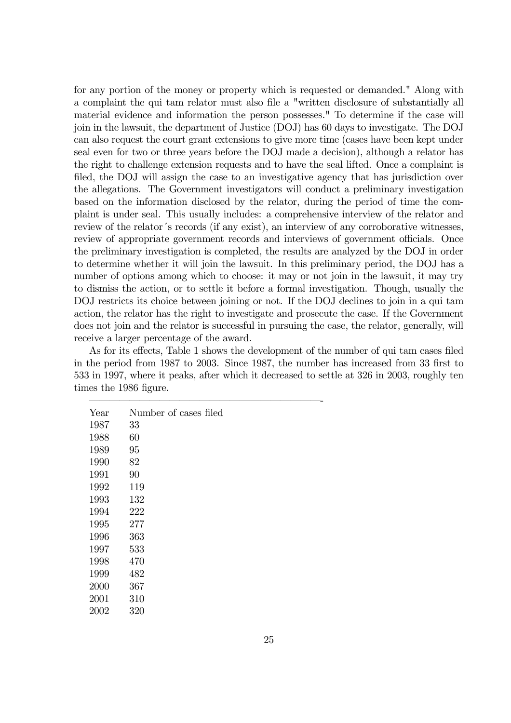for any portion of the money or property which is requested or demanded." Along with a complaint the qui tam relator must also file a "written disclosure of substantially all material evidence and information the person possesses." To determine if the case will join in the lawsuit, the department of Justice (DOJ) has 60 days to investigate. The DOJ can also request the court grant extensions to give more time (cases have been kept under seal even for two or three years before the DOJ made a decision), although a relator has the right to challenge extension requests and to have the seal lifted. Once a complaint is filed, the DOJ will assign the case to an investigative agency that has jurisdiction over the allegations. The Government investigators will conduct a preliminary investigation based on the information disclosed by the relator, during the period of time the complaint is under seal. This usually includes: a comprehensive interview of the relator and review of the relator's records (if any exist), an interview of any corroborative witnesses, review of appropriate government records and interviews of government officials. Once the preliminary investigation is completed, the results are analyzed by the DOJ in order to determine whether it will join the lawsuit. In this preliminary period, the DOJ has a number of options among which to choose: it may or not join in the lawsuit, it may try to dismiss the action, or to settle it before a formal investigation. Though, usually the DOJ restricts its choice between joining or not. If the DOJ declines to join in a qui tam action, the relator has the right to investigate and prosecute the case. If the Government does not join and the relator is successful in pursuing the case, the relator, generally, will receive a larger percentage of the award.

As for its effects, Table 1 shows the development of the number of qui tam cases filed in the period from 1987 to 2003. Since 1987, the number has increased from 33 first to 533 in 1997, where it peaks, after which it decreased to settle at 326 in 2003, roughly ten times the 1986 figure.

| Year | Number of cases filed |
|------|-----------------------|
| 1987 | 33                    |
| 1988 | 60                    |
| 1989 | 95                    |
| 1990 | 82                    |
| 1991 | 90                    |
| 1992 | 119                   |
| 1993 | 132                   |
| 1994 | 222                   |
| 1995 | 277                   |
| 1996 | 363                   |
| 1997 | 533                   |
| 1998 | 470                   |
| 1999 | 482                   |
| 2000 | 367                   |
| 2001 | 310                   |
| 2002 | 320                   |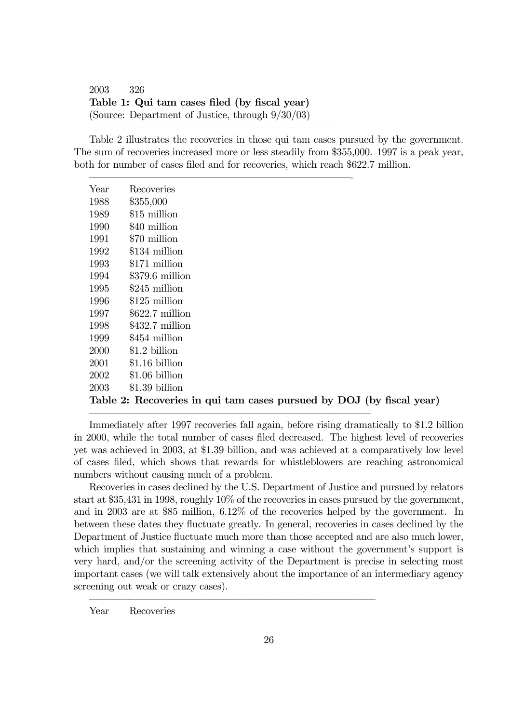2003 326 Table 1: Qui tam cases filed (by fiscal year) (Source: Department of Justice, through 9/30/03)

ñññññññññññññññññññññññññ

Table 2 illustrates the recoveries in those qui tam cases pursued by the government. The sum of recoveries increased more or less steadily from \$355,000. 1997 is a peak year, both for number of cases filed and for recoveries, which reach \$622.7 million.

| Year | Recoveries                                                           |
|------|----------------------------------------------------------------------|
| 1988 | \$355,000                                                            |
| 1989 | \$15 million                                                         |
| 1990 | \$40 million                                                         |
| 1991 | \$70 million                                                         |
| 1992 | \$134 million                                                        |
| 1993 | \$171 million                                                        |
| 1994 | $$379.6$ million                                                     |
| 1995 | \$245 million                                                        |
| 1996 | \$125 million                                                        |
| 1997 | $$622.7$ million                                                     |
| 1998 | $$432.7$ million                                                     |
| 1999 | \$454 million                                                        |
| 2000 | \$1.2 billion                                                        |
| 2001 | $$1.16$ billion                                                      |
| 2002 | \$1.06 billion                                                       |
| 2003 | $$1.39$ billion                                                      |
|      | Table 2: Recoveries in qui tam cases pursued by DOJ (by fiscal year) |

Immediately after 1997 recoveries fall again, before rising dramatically to \$1.2 billion in 2000, while the total number of cases filed decreased. The highest level of recoveries yet was achieved in 2003, at \$1.39 billion, and was achieved at a comparatively low level of cases filed, which shows that rewards for whistleblowers are reaching astronomical numbers without causing much of a problem.

ññññññññññññññññññññññññññññ

ññññññññññññññññññññññññññññó

Recoveries in cases declined by the U.S. Department of Justice and pursued by relators start at \$35,431 in 1998, roughly 10% of the recoveries in cases pursued by the government, and in 2003 are at \$85 million, 6.12% of the recoveries helped by the government. In between these dates they fluctuate greatly. In general, recoveries in cases declined by the Department of Justice fluctuate much more than those accepted and are also much lower, which implies that sustaining and winning a case without the government's support is very hard, and/or the screening activity of the Department is precise in selecting most important cases (we will talk extensively about the importance of an intermediary agency screening out weak or crazy cases).

Year Recoveries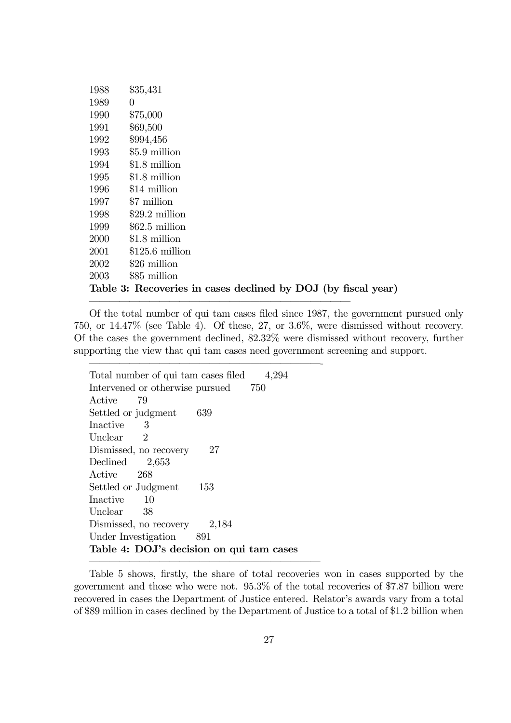| 1988                                                          | \$35,431         |  |
|---------------------------------------------------------------|------------------|--|
| 1989                                                          | 0                |  |
| 1990                                                          | \$75,000         |  |
| 1991                                                          | \$69,500         |  |
| 1992                                                          | \$994,456        |  |
| 1993                                                          | \$5.9 million    |  |
| 1994                                                          | \$1.8 million    |  |
| 1995                                                          | \$1.8 million    |  |
| 1996                                                          | \$14 million     |  |
| 1997                                                          | \$7 million      |  |
| 1998                                                          | $$29.2$ million  |  |
| 1999                                                          | $$62.5$ million  |  |
| 2000                                                          | \$1.8 million    |  |
| 2001                                                          | $$125.6$ million |  |
| 2002                                                          | \$26 million     |  |
| 2003                                                          | \$85 million     |  |
| Table 3: Recoveries in cases declined by DOJ (by fiscal year) |                  |  |

ññññññññññññññññññññññññññ

ñññññññññññññññññññññññ-

Of the total number of qui tam cases filed since 1987, the government pursued only 750, or 14.47% (see Table 4). Of these, 27, or 3.6%, were dismissed without recovery. Of the cases the government declined, 82.32% were dismissed without recovery, further supporting the view that qui tam cases need government screening and support.

Total number of qui tam cases filed 4,294 Intervened or otherwise pursued 750 Active 79 Settled or judgment 639 Inactive 3 Unclear 2 Dismissed, no recovery 27 Declined 2,653 Active 268 Settled or Judgment 153 Inactive 10 Unclear 38 Dismissed, no recovery 2,184 Under Investigation 891 Table 4: DOJ's decision on qui tam cases ñññññññññññññññññññññññ

Table 5 shows, firstly, the share of total recoveries won in cases supported by the government and those who were not. 95.3% of the total recoveries of \$7.87 billion were recovered in cases the Department of Justice entered. Relator's awards vary from a total of \$89 million in cases declined by the Department of Justice to a total of \$1.2 billion when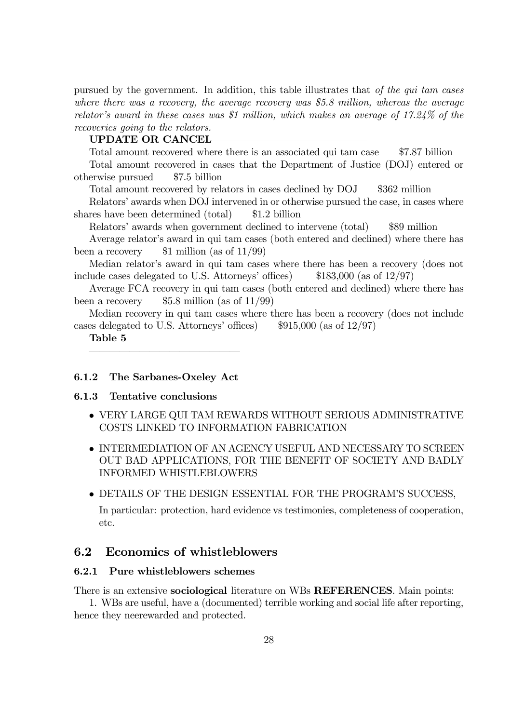pursued by the government. In addition, this table illustrates that of the qui tam cases where there was a recovery, the average recovery was \$5.8 million, whereas the average relator's award in these cases was \$1 million, which makes an average of  $17.24\%$  of the recoveries going to the relators.

## UPDATE OR CANCEL

Total amount recovered where there is an associated qui tam case \$7.87 billion

Total amount recovered in cases that the Department of Justice (DOJ) entered or otherwise pursued \$7.5 billion

Total amount recovered by relators in cases declined by DOJ \$362 million

Relatorsí awards when DOJ intervened in or otherwise pursued the case, in cases where shares have been determined (total) \$1.2 billion

Relatorsí awards when government declined to intervene (total) \$89 million

Average relator's award in qui tam cases (both entered and declined) where there has been a recovery  $$1$  million (as of  $11/99$ )

Median relator's award in qui tam cases where there has been a recovery (does not include cases delegated to U.S. Attorneys' offices)  $$183,000$  (as of  $12/97$ )

Average FCA recovery in qui tam cases (both entered and declined) where there has been a recovery  $$5.8$  million (as of  $11/99$ )

Median recovery in qui tam cases where there has been a recovery (does not include cases delegated to U.S. Attorneys' offices)  $$915,000$  (as of  $12/97$ )

Table 5

#### 6.1.2 The Sarbanes-Oxeley Act

ñññññññññññññññ

#### 6.1.3 Tentative conclusions

- $\bullet$  VERY LARGE QUI TAM REWARDS WITHOUT SERIOUS ADMINISTRATIVE COSTS LINKED TO INFORMATION FABRICATION
- INTERMEDIATION OF AN AGENCY USEFUL AND NECESSARY TO SCREEN OUT BAD APPLICATIONS, FOR THE BENEFIT OF SOCIETY AND BADLY INFORMED WHISTLEBLOWERS
- $\bullet$  DETAILS OF THE DESIGN ESSENTIAL FOR THE PROGRAM'S SUCCESS.

In particular: protection, hard evidence vs testimonies, completeness of cooperation, etc.

# 6.2 Economics of whistleblowers

## 6.2.1 Pure whistleblowers schemes

There is an extensive sociological literature on WBs REFERENCES. Main points:

1. WBs are useful, have a (documented) terrible working and social life after reporting, hence they neerewarded and protected.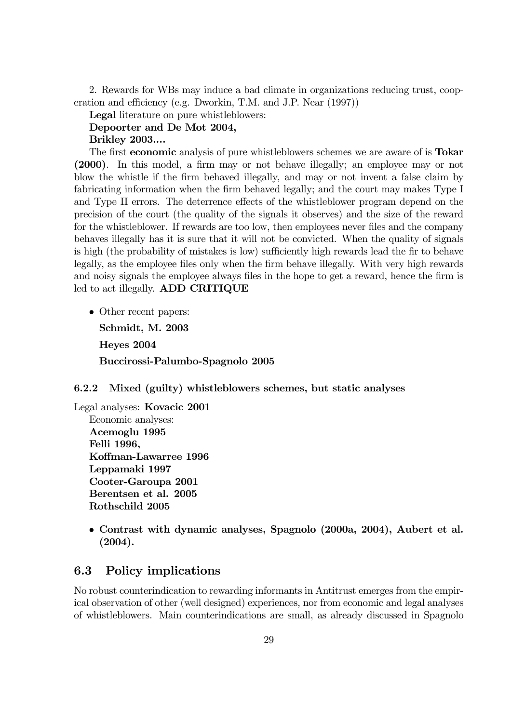2. Rewards for WBs may induce a bad climate in organizations reducing trust, cooperation and efficiency (e.g. Dworkin, T.M. and J.P. Near (1997))

Legal literature on pure whistleblowers:

## Depoorter and De Mot 2004,

Brikley 2003....

The first economic analysis of pure whistleblowers schemes we are aware of is Tokar (2000). In this model, a firm may or not behave illegally; an employee may or not blow the whistle if the firm behaved illegally, and may or not invent a false claim by fabricating information when the firm behaved legally; and the court may makes Type I and Type II errors. The deterrence effects of the whistleblower program depend on the precision of the court (the quality of the signals it observes) and the size of the reward for the whistleblower. If rewards are too low, then employees never files and the company behaves illegally has it is sure that it will not be convicted. When the quality of signals is high (the probability of mistakes is low) sufficiently high rewards lead the fir to behave legally, as the employee files only when the firm behave illegally. With very high rewards and noisy signals the employee always files in the hope to get a reward, hence the firm is led to act illegally. ADD CRITIQUE

• Other recent papers: Schmidt, M. 2003 Heyes 2004 Buccirossi-Palumbo-Spagnolo 2005

#### 6.2.2 Mixed (guilty) whistleblowers schemes, but static analyses

Legal analyses: Kovacic 2001 Economic analyses: Acemoglu 1995 Felli 1996, Koffman-Lawarree 1996 Leppamaki 1997 Cooter-Garoupa 2001 Berentsen et al. 2005 Rothschild 2005

> ï Contrast with dynamic analyses, Spagnolo (2000a, 2004), Aubert et al. (2004).

# 6.3 Policy implications

No robust counterindication to rewarding informants in Antitrust emerges from the empirical observation of other (well designed) experiences, nor from economic and legal analyses of whistleblowers. Main counterindications are small, as already discussed in Spagnolo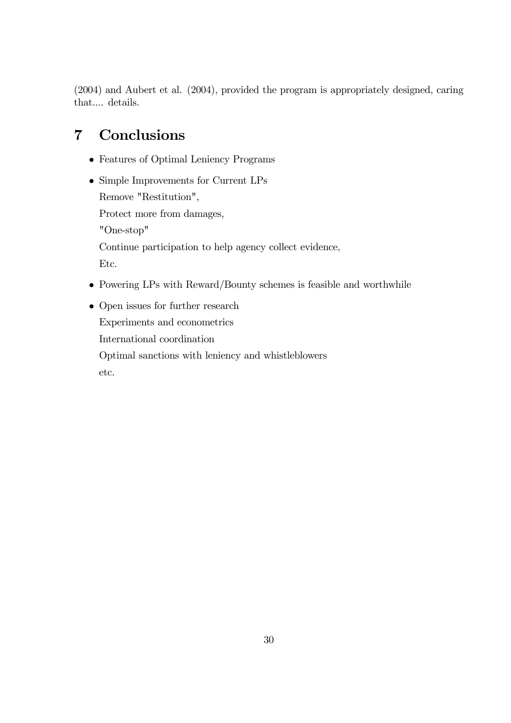(2004) and Aubert et al. (2004), provided the program is appropriately designed, caring that.... details.

# 7 Conclusions

- Features of Optimal Leniency Programs
- $\bullet$  Simple Improvements for Current LPs Remove "Restitution", Protect more from damages, "One-stop" Continue participation to help agency collect evidence, Etc.
- $\bullet$  Powering LPs with Reward/Bounty schemes is feasible and worthwhile
- $\bullet$  Open issues for further research Experiments and econometrics International coordination Optimal sanctions with leniency and whistleblowers etc.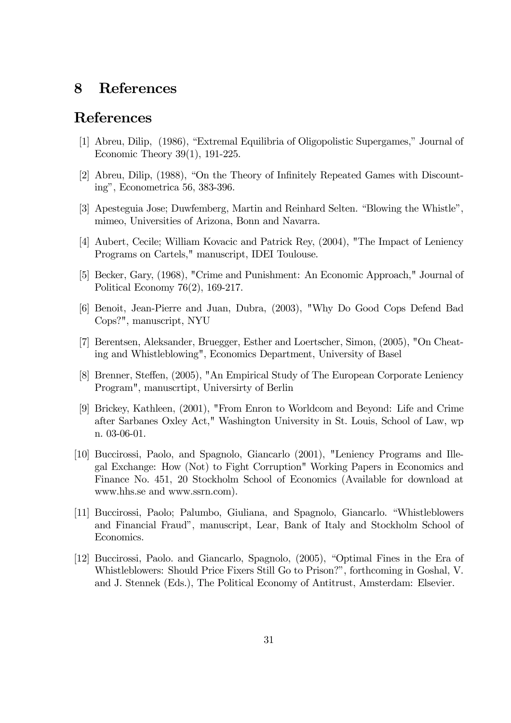# 8 References

# References

- [1] Abreu, Dilip, (1986), "Extremal Equilibria of Oligopolistic Supergames," Journal of Economic Theory 39(1), 191-225.
- [2] Abreu, Dilip, (1988), "On the Theory of Infinitely Repeated Games with Discounting", Econometrica 56, 383-396.
- [3] Apesteguia Jose; Duwfemberg, Martin and Reinhard Selten. "Blowing the Whistle", mimeo, Universities of Arizona, Bonn and Navarra.
- [4] Aubert, Cecile; William Kovacic and Patrick Rey, (2004), "The Impact of Leniency Programs on Cartels," manuscript, IDEI Toulouse.
- [5] Becker, Gary, (1968), "Crime and Punishment: An Economic Approach," Journal of Political Economy 76(2), 169-217.
- [6] Benoit, Jean-Pierre and Juan, Dubra, (2003), "Why Do Good Cops Defend Bad Cops?", manuscript, NYU
- [7] Berentsen, Aleksander, Bruegger, Esther and Loertscher, Simon, (2005), "On Cheating and Whistleblowing", Economics Department, University of Basel
- [8] Brenner, Steffen, (2005), "An Empirical Study of The European Corporate Leniency Program", manuscrtipt, Universirty of Berlin
- [9] Brickey, Kathleen, (2001), "From Enron to Worldcom and Beyond: Life and Crime after Sarbanes Oxley Act," Washington University in St. Louis, School of Law, wp n. 03-06-01.
- [10] Buccirossi, Paolo, and Spagnolo, Giancarlo (2001), "Leniency Programs and Illegal Exchange: How (Not) to Fight Corruption" Working Papers in Economics and Finance No. 451, 20 Stockholm School of Economics (Available for download at www.hhs.se and www.ssrn.com).
- [11] Buccirossi, Paolo: Palumbo, Giuliana, and Spagnolo, Giancarlo. "Whistleblowers and Financial Fraudî, manuscript, Lear, Bank of Italy and Stockholm School of Economics.
- [12] Buccirossi, Paolo. and Giancarlo, Spagnolo, (2005), "Optimal Fines in the Era of Whistleblowers: Should Price Fixers Still Go to Prison?", forthcoming in Goshal, V. and J. Stennek (Eds.), The Political Economy of Antitrust, Amsterdam: Elsevier.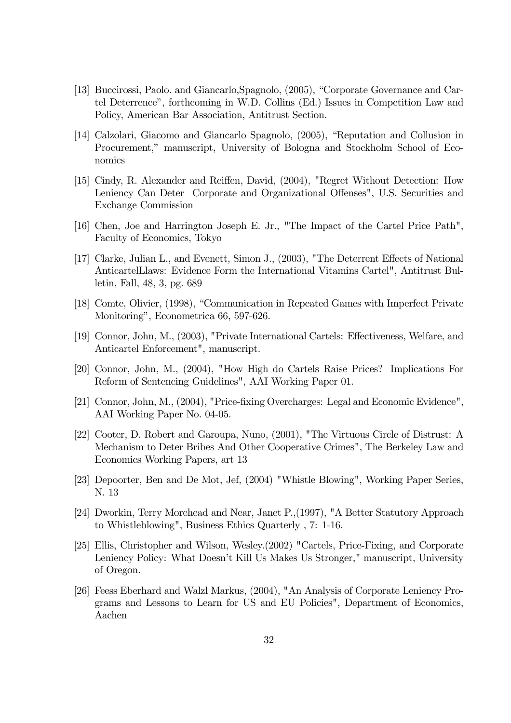- [13] Buccirossi, Paolo. and Giancarlo, Spagnolo, (2005), "Corporate Governance and Cartel Deterrenceî, forthcoming in W.D. Collins (Ed.) Issues in Competition Law and Policy, American Bar Association, Antitrust Section.
- [14] Calzolari, Giacomo and Giancarlo Spagnolo, (2005), "Reputation and Collusion in Procurement," manuscript, University of Bologna and Stockholm School of Economics
- [15] Cindy, R. Alexander and Reiffen, David, (2004), "Regret Without Detection: How Leniency Can Deter Corporate and Organizational Offenses", U.S. Securities and Exchange Commission
- [16] Chen, Joe and Harrington Joseph E. Jr., "The Impact of the Cartel Price Path", Faculty of Economics, Tokyo
- [17] Clarke, Julian L., and Evenett, Simon J., (2003), "The Deterrent Effects of National AnticartelLlaws: Evidence Form the International Vitamins Cartel", Antitrust Bulletin, Fall, 48, 3, pg. 689
- [18] Comte, Olivier, (1998), "Communication in Repeated Games with Imperfect Private Monitoring", Econometrica 66, 597-626.
- [19] Connor, John, M., (2003), "Private International Cartels: Effectiveness, Welfare, and Anticartel Enforcement", manuscript.
- [20] Connor, John, M., (2004), "How High do Cartels Raise Prices? Implications For Reform of Sentencing Guidelines", AAI Working Paper 01.
- [21] Connor, John, M., (2004), "Price-fixing Overcharges: Legal and Economic Evidence", AAI Working Paper No. 04-05.
- [22] Cooter, D. Robert and Garoupa, Nuno, (2001), "The Virtuous Circle of Distrust: A Mechanism to Deter Bribes And Other Cooperative Crimes", The Berkeley Law and Economics Working Papers, art 13
- [23] Depoorter, Ben and De Mot, Jef, (2004) "Whistle Blowing", Working Paper Series, N. 13
- [24] Dworkin, Terry Morehead and Near, Janet P.,(1997), "A Better Statutory Approach to Whistleblowing", Business Ethics Quarterly , 7: 1-16.
- [25] Ellis, Christopher and Wilson, Wesley.(2002) "Cartels, Price-Fixing, and Corporate Leniency Policy: What Doesn't Kill Us Makes Us Stronger," manuscript, University of Oregon.
- [26] Feess Eberhard and Walzl Markus, (2004), "An Analysis of Corporate Leniency Programs and Lessons to Learn for US and EU Policies", Department of Economics, Aachen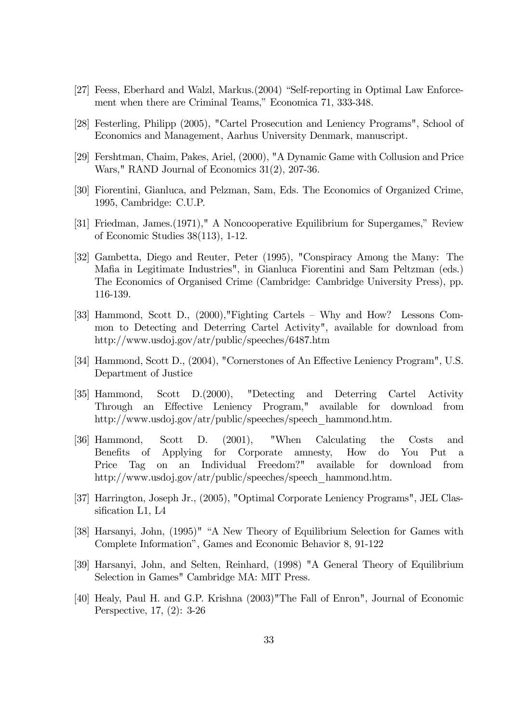- [27] Feess, Eberhard and Walzl, Markus.(2004) "Self-reporting in Optimal Law Enforcement when there are Criminal Teams," Economica 71, 333-348.
- [28] Festerling, Philipp (2005), "Cartel Prosecution and Leniency Programs", School of Economics and Management, Aarhus University Denmark, manuscript.
- [29] Fershtman, Chaim, Pakes, Ariel, (2000), "A Dynamic Game with Collusion and Price Wars," RAND Journal of Economics 31(2), 207-36.
- [30] Fiorentini, Gianluca, and Pelzman, Sam, Eds. The Economics of Organized Crime, 1995, Cambridge: C.U.P.
- [31] Friedman, James. (1971)," A Noncooperative Equilibrium for Supergames," Review of Economic Studies 38(113), 1-12.
- [32] Gambetta, Diego and Reuter, Peter (1995), "Conspiracy Among the Many: The Mafia in Legitimate Industries", in Gianluca Fiorentini and Sam Peltzman (eds.) The Economics of Organised Crime (Cambridge: Cambridge University Press), pp. 116-139.
- [33] Hammond, Scott D.,  $(2000)$ , Fighting Cartels Why and How? Lessons Common to Detecting and Deterring Cartel Activity", available for download from http://www.usdoj.gov/atr/public/speeches/6487.htm
- [34] Hammond, Scott D., (2004), "Cornerstones of An Effective Leniency Program", U.S. Department of Justice
- [35] Hammond, Scott D.(2000), "Detecting and Deterring Cartel Activity Through an Effective Leniency Program," available for download from http://www.usdoj.gov/atr/public/speeches/speech\_hammond.htm.
- [36] Hammond, Scott D. (2001), "When Calculating the Costs and Benefits of Applying for Corporate amnesty, How do You Put a Price Tag on an Individual Freedom?" available for download from http://www.usdoj.gov/atr/public/speeches/speech\_hammond.htm.
- [37] Harrington, Joseph Jr., (2005), "Optimal Corporate Leniency Programs", JEL Classification L1, L4
- [38] Harsanyi, John, (1995)" "A New Theory of Equilibrium Selection for Games with Complete Informationî, Games and Economic Behavior 8, 91-122
- [39] Harsanyi, John, and Selten, Reinhard, (1998) "A General Theory of Equilibrium Selection in Games" Cambridge MA: MIT Press.
- [40] Healy, Paul H. and G.P. Krishna (2003)"The Fall of Enron", Journal of Economic Perspective, 17, (2): 3-26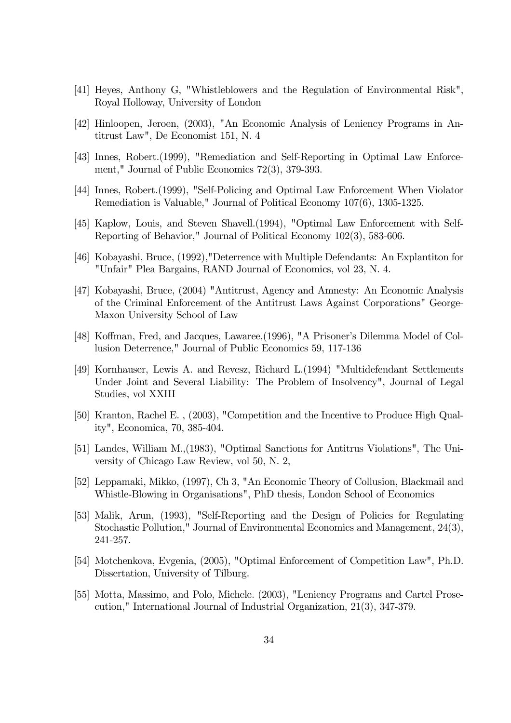- [41] Heyes, Anthony G, "Whistleblowers and the Regulation of Environmental Risk", Royal Holloway, University of London
- [42] Hinloopen, Jeroen, (2003), "An Economic Analysis of Leniency Programs in Antitrust Law", De Economist 151, N. 4
- [43] Innes, Robert.(1999), "Remediation and Self-Reporting in Optimal Law Enforcement," Journal of Public Economics 72(3), 379-393.
- [44] Innes, Robert.(1999), "Self-Policing and Optimal Law Enforcement When Violator Remediation is Valuable," Journal of Political Economy 107(6), 1305-1325.
- [45] Kaplow, Louis, and Steven Shavell.(1994), "Optimal Law Enforcement with Self-Reporting of Behavior," Journal of Political Economy 102(3), 583-606.
- [46] Kobayashi, Bruce, (1992),"Deterrence with Multiple Defendants: An Explantiton for "Unfair" Plea Bargains, RAND Journal of Economics, vol 23, N. 4.
- [47] Kobayashi, Bruce, (2004) "Antitrust, Agency and Amnesty: An Economic Analysis of the Criminal Enforcement of the Antitrust Laws Against Corporations" George-Maxon University School of Law
- [48] Koffman, Fred, and Jacques, Lawaree, (1996), "A Prisoner's Dilemma Model of Collusion Deterrence," Journal of Public Economics 59, 117-136
- [49] Kornhauser, Lewis A. and Revesz, Richard L.(1994) "Multidefendant Settlements Under Joint and Several Liability: The Problem of Insolvency", Journal of Legal Studies, vol XXIII
- [50] Kranton, Rachel E. , (2003), "Competition and the Incentive to Produce High Quality", Economica, 70, 385-404.
- [51] Landes, William M.,(1983), "Optimal Sanctions for Antitrus Violations", The University of Chicago Law Review, vol 50, N. 2,
- [52] Leppamaki, Mikko, (1997), Ch 3, "An Economic Theory of Collusion, Blackmail and Whistle-Blowing in Organisations", PhD thesis, London School of Economics
- [53] Malik, Arun, (1993), "Self-Reporting and the Design of Policies for Regulating Stochastic Pollution," Journal of Environmental Economics and Management, 24(3), 241-257.
- [54] Motchenkova, Evgenia, (2005), "Optimal Enforcement of Competition Law", Ph.D. Dissertation, University of Tilburg.
- [55] Motta, Massimo, and Polo, Michele. (2003), "Leniency Programs and Cartel Prosecution," International Journal of Industrial Organization, 21(3), 347-379.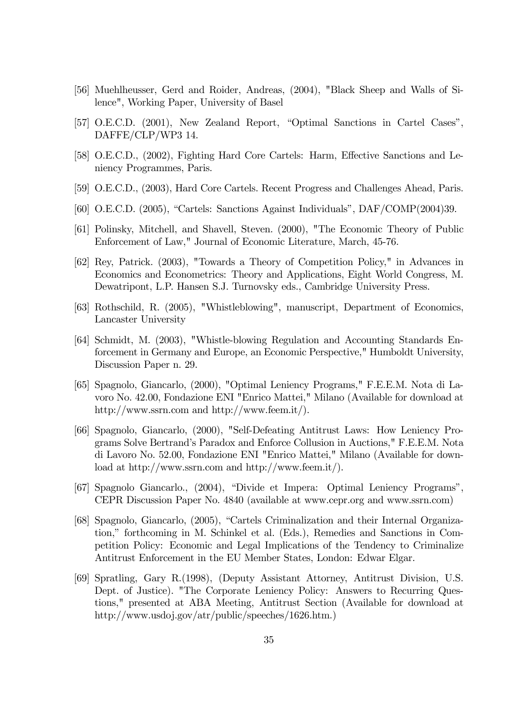- [56] Muehlheusser, Gerd and Roider, Andreas, (2004), "Black Sheep and Walls of Silence", Working Paper, University of Basel
- [57] O.E.C.D. (2001), New Zealand Report, "Optimal Sanctions in Cartel Cases", DAFFE/CLP/WP3 14.
- [58] O.E.C.D., (2002), Fighting Hard Core Cartels: Harm, Effective Sanctions and Leniency Programmes, Paris.
- [59] O.E.C.D., (2003), Hard Core Cartels. Recent Progress and Challenges Ahead, Paris.
- [60] O.E.C.D. (2005), "Cartels: Sanctions Against Individuals",  $DAF/COMP(2004)39$ .
- [61] Polinsky, Mitchell, and Shavell, Steven. (2000), "The Economic Theory of Public Enforcement of Law," Journal of Economic Literature, March, 45-76.
- [62] Rey, Patrick. (2003), "Towards a Theory of Competition Policy," in Advances in Economics and Econometrics: Theory and Applications, Eight World Congress, M. Dewatripont, L.P. Hansen S.J. Turnovsky eds., Cambridge University Press.
- [63] Rothschild, R. (2005), "Whistleblowing", manuscript, Department of Economics, Lancaster University
- [64] Schmidt, M. (2003), "Whistle-blowing Regulation and Accounting Standards Enforcement in Germany and Europe, an Economic Perspective," Humboldt University, Discussion Paper n. 29.
- [65] Spagnolo, Giancarlo, (2000), "Optimal Leniency Programs," F.E.E.M. Nota di Lavoro No. 42.00, Fondazione ENI "Enrico Mattei," Milano (Available for download at http://www.ssrn.com and http://www.feem.it/).
- [66] Spagnolo, Giancarlo, (2000), "Self-Defeating Antitrust Laws: How Leniency Programs Solve Bertrandís Paradox and Enforce Collusion in Auctions," F.E.E.M. Nota di Lavoro No. 52.00, Fondazione ENI "Enrico Mattei," Milano (Available for download at http://www.ssrn.com and http://www.feem.it/).
- [67] Spagnolo Giancarlo., (2004), "Divide et Impera: Optimal Leniency Programs", CEPR Discussion Paper No. 4840 (available at www.cepr.org and www.ssrn.com)
- [68] Spagnolo, Giancarlo, (2005), "Cartels Criminalization and their Internal Organization," forthcoming in M. Schinkel et al. (Eds.), Remedies and Sanctions in Competition Policy: Economic and Legal Implications of the Tendency to Criminalize Antitrust Enforcement in the EU Member States, London: Edwar Elgar.
- [69] Spratling, Gary R.(1998), (Deputy Assistant Attorney, Antitrust Division, U.S. Dept. of Justice). "The Corporate Leniency Policy: Answers to Recurring Questions," presented at ABA Meeting, Antitrust Section (Available for download at http://www.usdoj.gov/atr/public/speeches/1626.htm.)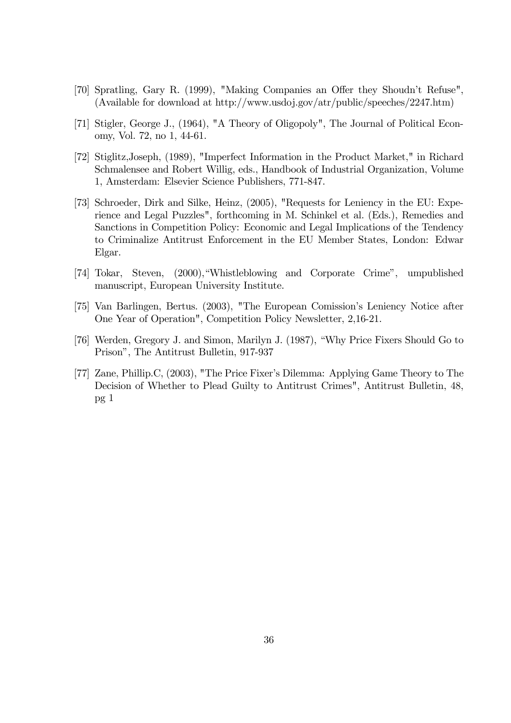- [70] Spratling, Gary R. (1999), "Making Companies an Offer they Shoudn't Refuse", (Available for download at http://www.usdoj.gov/atr/public/speeches/2247.htm)
- [71] Stigler, George J., (1964), "A Theory of Oligopoly", The Journal of Political Economy, Vol. 72, no 1, 44-61.
- [72] Stiglitz,Joseph, (1989), "Imperfect Information in the Product Market," in Richard Schmalensee and Robert Willig, eds., Handbook of Industrial Organization, Volume 1, Amsterdam: Elsevier Science Publishers, 771-847.
- [73] Schroeder, Dirk and Silke, Heinz, (2005), "Requests for Leniency in the EU: Experience and Legal Puzzles", forthcoming in M. Schinkel et al. (Eds.), Remedies and Sanctions in Competition Policy: Economic and Legal Implications of the Tendency to Criminalize Antitrust Enforcement in the EU Member States, London: Edwar Elgar.
- [74] Tokar, Steven, (2000), "Whistleblowing and Corporate Crime", umpublished manuscript, European University Institute.
- [75] Van Barlingen, Bertus. (2003), "The European Comission's Leniency Notice after One Year of Operation", Competition Policy Newsletter, 2,16-21.
- [76] Werden, Gregory J. and Simon, Marilyn J. (1987), "Why Price Fixers Should Go to Prisonî, The Antitrust Bulletin, 917-937
- [77] Zane, Phillip.C, (2003), "The Price Fixerís Dilemma: Applying Game Theory to The Decision of Whether to Plead Guilty to Antitrust Crimes", Antitrust Bulletin, 48, pg 1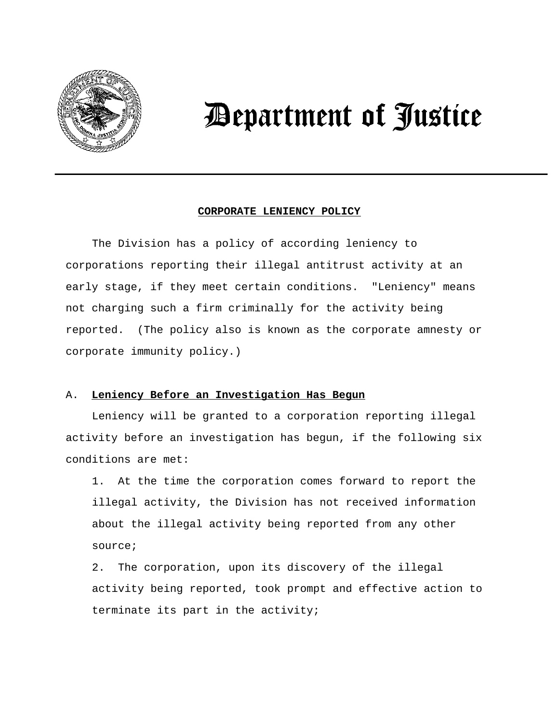

# *Department of Justice*

#### **CORPORATE LENIENCY POLICY**

The Division has a policy of according leniency to corporations reporting their illegal antitrust activity at an early stage, if they meet certain conditions. "Leniency" means not charging such a firm criminally for the activity being reported. (The policy also is known as the corporate amnesty or corporate immunity policy.)

#### A. **Leniency Before an Investigation Has Begun**

Leniency will be granted to a corporation reporting illegal activity before an investigation has begun, if the following six conditions are met:

1. At the time the corporation comes forward to report the illegal activity, the Division has not received information about the illegal activity being reported from any other source;

2. The corporation, upon its discovery of the illegal activity being reported, took prompt and effective action to terminate its part in the activity;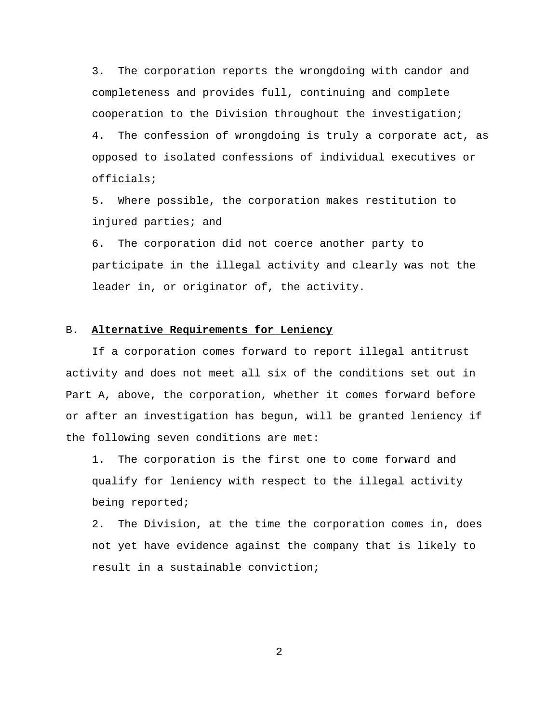3. The corporation reports the wrongdoing with candor and completeness and provides full, continuing and complete cooperation to the Division throughout the investigation; 4. The confession of wrongdoing is truly a corporate act, as opposed to isolated confessions of individual executives or officials;

5. Where possible, the corporation makes restitution to injured parties; and

6. The corporation did not coerce another party to participate in the illegal activity and clearly was not the leader in, or originator of, the activity.

#### B. **Alternative Requirements for Leniency**

If a corporation comes forward to report illegal antitrust activity and does not meet all six of the conditions set out in Part A, above, the corporation, whether it comes forward before or after an investigation has begun, will be granted leniency if the following seven conditions are met:

1. The corporation is the first one to come forward and qualify for leniency with respect to the illegal activity being reported;

2. The Division, at the time the corporation comes in, does not yet have evidence against the company that is likely to result in a sustainable conviction;

2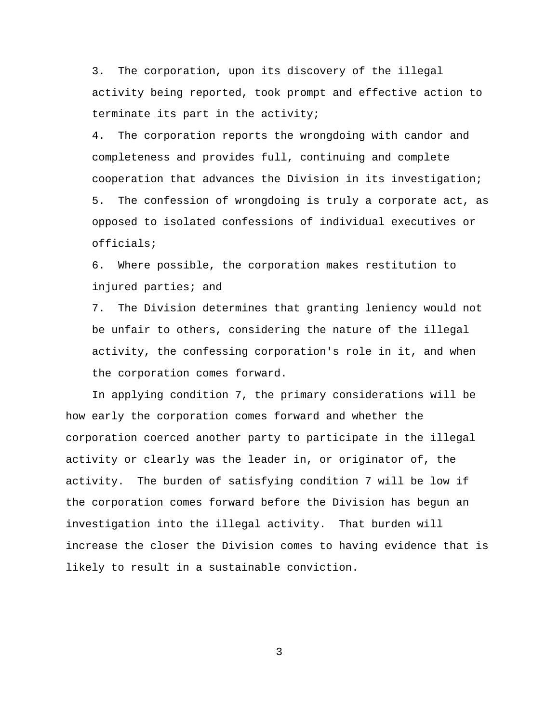3. The corporation, upon its discovery of the illegal activity being reported, took prompt and effective action to terminate its part in the activity;

4. The corporation reports the wrongdoing with candor and completeness and provides full, continuing and complete cooperation that advances the Division in its investigation; 5. The confession of wrongdoing is truly a corporate act, as opposed to isolated confessions of individual executives or officials;

6. Where possible, the corporation makes restitution to injured parties; and

7. The Division determines that granting leniency would not be unfair to others, considering the nature of the illegal activity, the confessing corporation's role in it, and when the corporation comes forward.

In applying condition 7, the primary considerations will be how early the corporation comes forward and whether the corporation coerced another party to participate in the illegal activity or clearly was the leader in, or originator of, the activity. The burden of satisfying condition 7 will be low if the corporation comes forward before the Division has begun an investigation into the illegal activity. That burden will increase the closer the Division comes to having evidence that is likely to result in a sustainable conviction.

3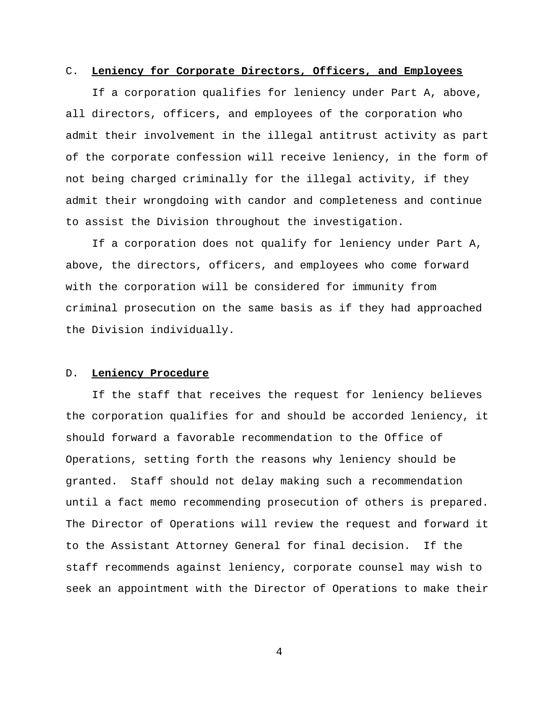#### C. **Leniency for Corporate Directors, Officers, and Employees**

If a corporation qualifies for leniency under Part A, above, all directors, officers, and employees of the corporation who admit their involvement in the illegal antitrust activity as part of the corporate confession will receive leniency, in the form of not being charged criminally for the illegal activity, if they admit their wrongdoing with candor and completeness and continue to assist the Division throughout the investigation.

If a corporation does not qualify for leniency under Part A, above, the directors, officers, and employees who come forward with the corporation will be considered for immunity from criminal prosecution on the same basis as if they had approached the Division individually.

#### D. **Leniency Procedure**

If the staff that receives the request for leniency believes the corporation qualifies for and should be accorded leniency, it should forward a favorable recommendation to the Office of Operations, setting forth the reasons why leniency should be granted. Staff should not delay making such a recommendation until a fact memo recommending prosecution of others is prepared. The Director of Operations will review the request and forward it to the Assistant Attorney General for final decision. If the staff recommends against leniency, corporate counsel may wish to seek an appointment with the Director of Operations to make their

4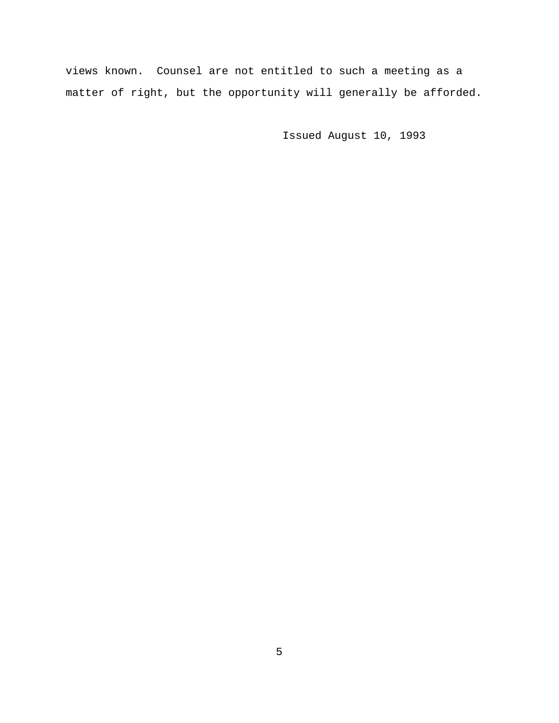views known. Counsel are not entitled to such a meeting as a matter of right, but the opportunity will generally be afforded.

Issued August 10, 1993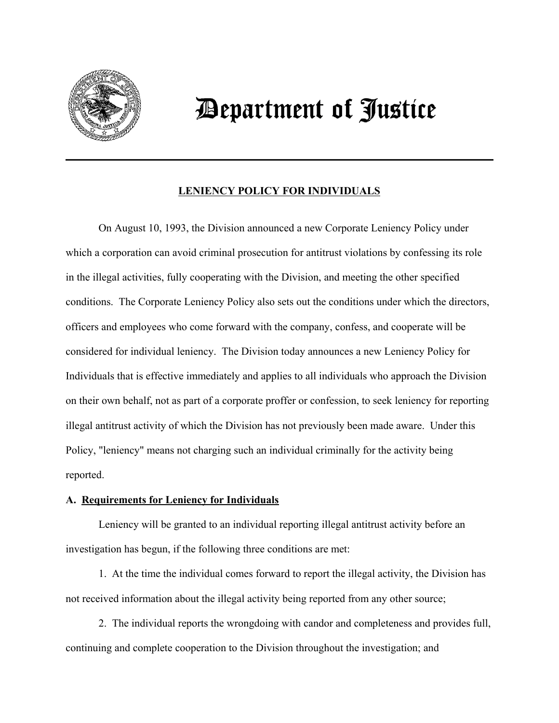

# *Department of Justice*

# **LENIENCY POLICY FOR INDIVIDUALS**

On August 10, 1993, the Division announced a new Corporate Leniency Policy under which a corporation can avoid criminal prosecution for antitrust violations by confessing its role in the illegal activities, fully cooperating with the Division, and meeting the other specified conditions. The Corporate Leniency Policy also sets out the conditions under which the directors, officers and employees who come forward with the company, confess, and cooperate will be considered for individual leniency. The Division today announces a new Leniency Policy for Individuals that is effective immediately and applies to all individuals who approach the Division on their own behalf, not as part of a corporate proffer or confession, to seek leniency for reporting illegal antitrust activity of which the Division has not previously been made aware. Under this Policy, "leniency" means not charging such an individual criminally for the activity being reported.

# **A. Requirements for Leniency for Individuals**

Leniency will be granted to an individual reporting illegal antitrust activity before an investigation has begun, if the following three conditions are met:

1. At the time the individual comes forward to report the illegal activity, the Division has not received information about the illegal activity being reported from any other source;

2. The individual reports the wrongdoing with candor and completeness and provides full, continuing and complete cooperation to the Division throughout the investigation; and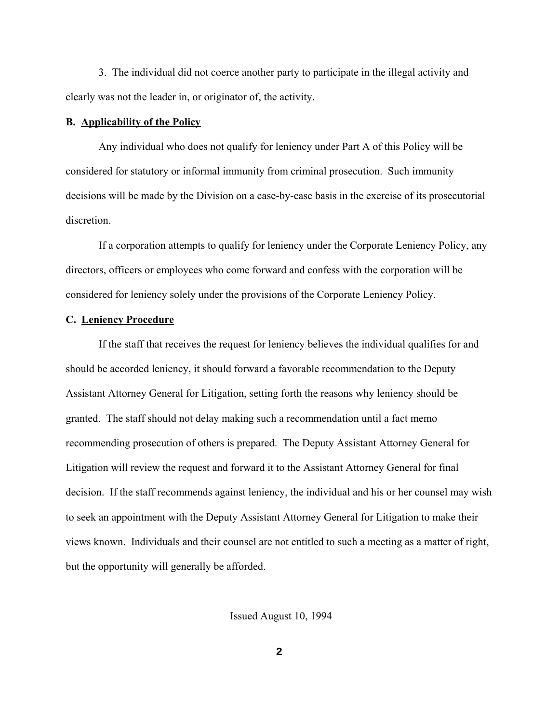3. The individual did not coerce another party to participate in the illegal activity and clearly was not the leader in, or originator of, the activity.

#### **B. Applicability of the Policy**

Any individual who does not qualify for leniency under Part A of this Policy will be considered for statutory or informal immunity from criminal prosecution. Such immunity decisions will be made by the Division on a case-by-case basis in the exercise of its prosecutorial discretion.

If a corporation attempts to qualify for leniency under the Corporate Leniency Policy, any directors, officers or employees who come forward and confess with the corporation will be considered for leniency solely under the provisions of the Corporate Leniency Policy.

### **C. Leniency Procedure**

If the staff that receives the request for leniency believes the individual qualifies for and should be accorded leniency, it should forward a favorable recommendation to the Deputy Assistant Attorney General for Litigation, setting forth the reasons why leniency should be granted. The staff should not delay making such a recommendation until a fact memo recommending prosecution of others is prepared. The Deputy Assistant Attorney General for Litigation will review the request and forward it to the Assistant Attorney General for final decision. If the staff recommends against leniency, the individual and his or her counsel may wish to seek an appointment with the Deputy Assistant Attorney General for Litigation to make their views known. Individuals and their counsel are not entitled to such a meeting as a matter of right, but the opportunity will generally be afforded.

Issued August 10, 1994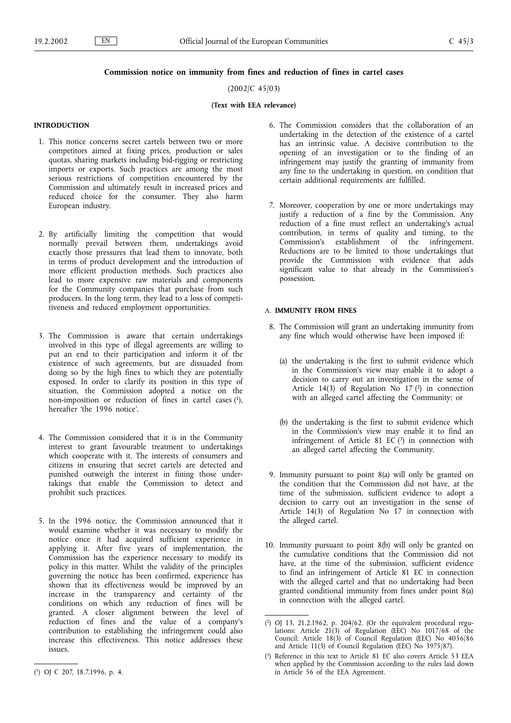#### Commission notice on immunity from fines and reduction of fines in cartel cases

#### (2002/C 45/03)

#### (Text with EEA relevance)

#### **INTRODUCTION**

- 1. This notice concerns secret cartels between two or more competitors aimed at fixing prices, production or sales quotas, sharing markets including bid-rigging or restricting imports or exports. Such practices are among the most serious restrictions of competition encountered by the Commission and ultimately result in increased prices and reduced choice for the consumer. They also harm European industry.
- 2. By artificially limiting the competition that would normally prevail between them, undertakings avoid exactly those pressures that lead them to innovate, both in terms of product development and the introduction of more efficient production methods. Such practices also lead to more expensive raw materials and components for the Community companies that purchase from such producers. In the long term, they lead to a loss of competitiveness and reduced employment opportunities.
- 3. The Commission is aware that certain undertakings involved in this type of illegal agreements are willing to put an end to their participation and inform it of the existence of such agreements, but are dissuaded from doing so by the high fines to which they are potentially exposed. In order to clarify its position in this type of situation, the Commission adopted a notice on the non-imposition or reduction of fines in cartel cases  $(1)$ , hereafter 'the 1996 notice'.
- 4. The Commission considered that it is in the Community interest to grant favourable treatment to undertakings which cooperate with it. The interests of consumers and citizens in ensuring that secret cartels are detected and punished outweigh the interest in fining those undertakings that enable the Commission to detect and prohibit such practices.
- 5. In the 1996 notice, the Commission announced that it would examine whether it was necessary to modify the notice once it had acquired sufficient experience in applying it. After five years of implementation, the Commission has the experience necessary to modify its policy in this matter. Whilst the validity of the principles governing the notice has been confirmed, experience has shown that its effectiveness would be improved by an increase in the transparency and certainty of the conditions on which any reduction of fines will be granted. A closer alignment between the level of reduction of fines and the value of a company's contribution to establishing the infringement could also increase this effectiveness. This notice addresses these issues.
- 6. The Commission considers that the collaboration of an undertaking in the detection of the existence of a cartel has an intrinsic value. A decisive contribution to the opening of an investigation or to the finding of an infringement may justify the granting of immunity from any fine to the undertaking in question, on condition that certain additional requirements are fulfilled.
- 7. Moreover, cooperation by one or more undertakings may justify a reduction of a fine by the Commission. Any reduction of a fine must reflect an undertaking's actual contribution, in terms of quality and timing, to the Commission's establishment of the infringement. Reductions are to be limited to those undertakings that provide the Commission with evidence that adds significant value to that already in the Commission's possession.

#### A. IMMUNITY FROM FINES

- 8. The Commission will grant an undertaking immunity from any fine which would otherwise have been imposed if:
	- (a) the undertaking is the first to submit evidence which in the Commission's view may enable it to adopt a decision to carry out an investigation in the sense of Article 14(3) of Regulation No  $17$  (2) in connection with an alleged cartel affecting the Community; or
	- (b) the undertaking is the first to submit evidence which in the Commission's view may enable it to find an infringement of Article 81 EC $(3)$  in connection with an alleged cartel affecting the Community.
- 9. Immunity pursuant to point 8(a) will only be granted on the condition that the Commission did not have, at the time of the submission, sufficient evidence to adopt a decision to carry out an investigation in the sense of Article 14(3) of Regulation No 17 in connection with the alleged cartel.
- 10. Immunity pursuant to point 8(b) will only be granted on the cumulative conditions that the Commission did not have, at the time of the submission, sufficient evidence to find an infringement of Article 81 EC in connection with the alleged cartel and that no undertaking had been granted conditional immunity from fines under point 8(a) in connection with the alleged cartel.

<sup>(</sup> 1) OJ C 207, 18.7.1996, p. 4.

<sup>(</sup> 2) OJ 13, 21.2.1962, p. 204/62. (Or the equivalent procedural regulations: Article 21(3) of Regulation (EEC) No 1017/68 of the Council; Article 18(3) of Council Regulation (EEC) No 4056/86 and Article 11(3) of Council Regulation (EEC) No 3975/87).

<sup>(</sup> 3) Reference in this text to Article 81 EC also covers Article 53 EEA when applied by the Commission according to the rules laid down in Article 56 of the EEA Agreement.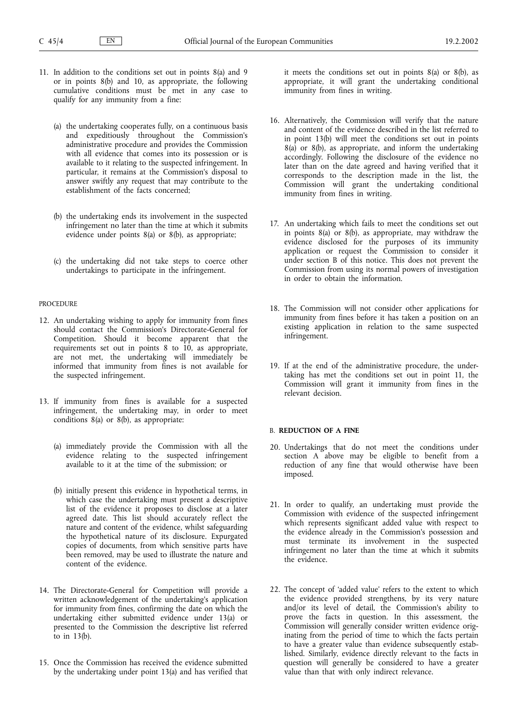- 11. In addition to the conditions set out in points 8(a) and 9 or in points 8(b) and 10, as appropriate, the following cumulative conditions must be met in any case to qualify for any immunity from a fine:
	- (a) the undertaking cooperates fully, on a continuous basis and expeditiously throughout the Commission's administrative procedure and provides the Commission with all evidence that comes into its possession or is available to it relating to the suspected infringement. In particular, it remains at the Commission's disposal to answer swiftly any request that may contribute to the establishment of the facts concerned;
	- (b) the undertaking ends its involvement in the suspected infringement no later than the time at which it submits evidence under points 8(a) or 8(b), as appropriate;
	- (c) the undertaking did not take steps to coerce other undertakings to participate in the infringement.

#### PROCEDURE

- 12. An undertaking wishing to apply for immunity from fines should contact the Commission's Directorate-General for Competition. Should it become apparent that the requirements set out in points 8 to 10, as appropriate, are not met, the undertaking will immediately be informed that immunity from fines is not available for the suspected infringement.
- 13. If immunity from fines is available for a suspected infringement, the undertaking may, in order to meet conditions 8(a) or 8(b), as appropriate:
	- (a) immediately provide the Commission with all the evidence relating to the suspected infringement available to it at the time of the submission; or
	- (b) initially present this evidence in hypothetical terms, in which case the undertaking must present a descriptive list of the evidence it proposes to disclose at a later agreed date. This list should accurately reflect the nature and content of the evidence, whilst safeguarding the hypothetical nature of its disclosure. Expurgated copies of documents, from which sensitive parts have been removed, may be used to illustrate the nature and content of the evidence.
- 14. The Directorate-General for Competition will provide a written acknowledgement of the undertaking's application for immunity from fines, confirming the date on which the undertaking either submitted evidence under 13(a) or presented to the Commission the descriptive list referred to in 13(b).
- 15. Once the Commission has received the evidence submitted by the undertaking under point 13(a) and has verified that

it meets the conditions set out in points 8(a) or 8(b), as appropriate, it will grant the undertaking conditional immunity from fines in writing.

- 16. Alternatively, the Commission will verify that the nature and content of the evidence described in the list referred to in point 13(b) will meet the conditions set out in points  $8(a)$  or  $8(b)$ , as appropriate, and inform the undertaking accordingly. Following the disclosure of the evidence no later than on the date agreed and having verified that it corresponds to the description made in the list, the Commission will grant the undertaking conditional immunity from fines in writing.
- 17. An undertaking which fails to meet the conditions set out in points 8(a) or 8(b), as appropriate, may withdraw the evidence disclosed for the purposes of its immunity application or request the Commission to consider it under section B of this notice. This does not prevent the Commission from using its normal powers of investigation in order to obtain the information.
- 18. The Commission will not consider other applications for immunity from fines before it has taken a position on an existing application in relation to the same suspected infringement.
- 19. If at the end of the administrative procedure, the undertaking has met the conditions set out in point 11, the Commission will grant it immunity from fines in the relevant decision.

#### B. REDUCTION OF A FINE

- 20. Undertakings that do not meet the conditions under section A above may be eligible to benefit from a reduction of any fine that would otherwise have been imposed.
- 21. In order to qualify, an undertaking must provide the Commission with evidence of the suspected infringement which represents significant added value with respect to the evidence already in the Commission's possession and must terminate its involvement in the suspected infringement no later than the time at which it submits the evidence.
- 22. The concept of 'added value' refers to the extent to which the evidence provided strengthens, by its very nature and/or its level of detail, the Commission's ability to prove the facts in question. In this assessment, the Commission will generally consider written evidence originating from the period of time to which the facts pertain to have a greater value than evidence subsequently established. Similarly, evidence directly relevant to the facts in question will generally be considered to have a greater value than that with only indirect relevance.